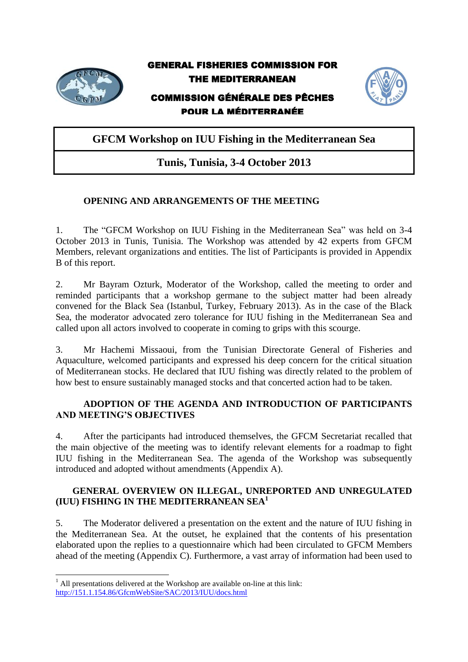

GENERAL FISHERIES COMMISSION FOR THE MEDITERRANEAN

# COMMISSION GÉNÉRALE DES PÊCHES POUR LA MÉDITERRANÉE



**GFCM Workshop on IUU Fishing in the Mediterranean Sea**

# **Tunis, Tunisia, 3-4 October 2013**

# **OPENING AND ARRANGEMENTS OF THE MEETING**

1. The "GFCM Workshop on IUU Fishing in the Mediterranean Sea" was held on 3-4 October 2013 in Tunis, Tunisia. The Workshop was attended by 42 experts from GFCM Members, relevant organizations and entities. The list of Participants is provided in Appendix B of this report.

2. Mr Bayram Ozturk, Moderator of the Workshop, called the meeting to order and reminded participants that a workshop germane to the subject matter had been already convened for the Black Sea (Istanbul, Turkey, February 2013). As in the case of the Black Sea, the moderator advocated zero tolerance for IUU fishing in the Mediterranean Sea and called upon all actors involved to cooperate in coming to grips with this scourge.

3. Mr Hachemi Missaoui, from the Tunisian Directorate General of Fisheries and Aquaculture, welcomed participants and expressed his deep concern for the critical situation of Mediterranean stocks. He declared that IUU fishing was directly related to the problem of how best to ensure sustainably managed stocks and that concerted action had to be taken.

# **ADOPTION OF THE AGENDA AND INTRODUCTION OF PARTICIPANTS AND MEETING'S OBJECTIVES**

4. After the participants had introduced themselves, the GFCM Secretariat recalled that the main objective of the meeting was to identify relevant elements for a roadmap to fight IUU fishing in the Mediterranean Sea. The agenda of the Workshop was subsequently introduced and adopted without amendments (Appendix A).

# **GENERAL OVERVIEW ON ILLEGAL, UNREPORTED AND UNREGULATED (IUU) FISHING IN THE MEDITERRANEAN SEA<sup>1</sup>**

5. The Moderator delivered a presentation on the extent and the nature of IUU fishing in the Mediterranean Sea. At the outset, he explained that the contents of his presentation elaborated upon the replies to a questionnaire which had been circulated to GFCM Members ahead of the meeting (Appendix C). Furthermore, a vast array of information had been used to

 $\overline{\phantom{a}}$ 

 $1$  All presentations delivered at the Workshop are available on-line at this link: <http://151.1.154.86/GfcmWebSite/SAC/2013/IUU/docs.html>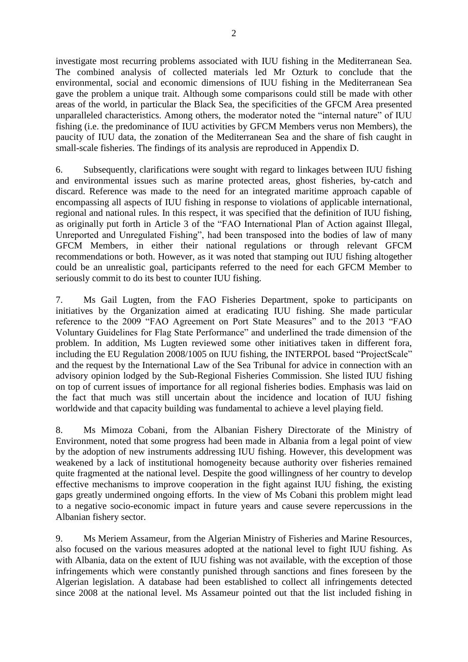investigate most recurring problems associated with IUU fishing in the Mediterranean Sea. The combined analysis of collected materials led Mr Ozturk to conclude that the environmental, social and economic dimensions of IUU fishing in the Mediterranean Sea gave the problem a unique trait. Although some comparisons could still be made with other areas of the world, in particular the Black Sea, the specificities of the GFCM Area presented unparalleled characteristics. Among others, the moderator noted the "internal nature" of IUU fishing (i.e. the predominance of IUU activities by GFCM Members verus non Members), the paucity of IUU data, the zonation of the Mediterranean Sea and the share of fish caught in small-scale fisheries. The findings of its analysis are reproduced in Appendix D.

6. Subsequently, clarifications were sought with regard to linkages between IUU fishing and environmental issues such as marine protected areas, ghost fisheries, by-catch and discard. Reference was made to the need for an integrated maritime approach capable of encompassing all aspects of IUU fishing in response to violations of applicable international, regional and national rules. In this respect, it was specified that the definition of IUU fishing, as originally put forth in Article 3 of the "FAO International Plan of Action against Illegal, Unreported and Unregulated Fishing", had been transposed into the bodies of law of many GFCM Members, in either their national regulations or through relevant GFCM recommendations or both. However, as it was noted that stamping out IUU fishing altogether could be an unrealistic goal, participants referred to the need for each GFCM Member to seriously commit to do its best to counter IUU fishing.

7. Ms Gail Lugten, from the FAO Fisheries Department, spoke to participants on initiatives by the Organization aimed at eradicating IUU fishing. She made particular reference to the 2009 "FAO Agreement on Port State Measures" and to the 2013 "FAO Voluntary Guidelines for Flag State Performance" and underlined the trade dimension of the problem. In addition, Ms Lugten reviewed some other initiatives taken in different fora, including the EU Regulation 2008/1005 on IUU fishing, the INTERPOL based "ProjectScale" and the request by the International Law of the Sea Tribunal for advice in connection with an advisory opinion lodged by the Sub-Regional Fisheries Commission. She listed IUU fishing on top of current issues of importance for all regional fisheries bodies. Emphasis was laid on the fact that much was still uncertain about the incidence and location of IUU fishing worldwide and that capacity building was fundamental to achieve a level playing field.

8. Ms Mimoza Cobani, from the Albanian Fishery Directorate of the Ministry of Environment, noted that some progress had been made in Albania from a legal point of view by the adoption of new instruments addressing IUU fishing. However, this development was weakened by a lack of institutional homogeneity because authority over fisheries remained quite fragmented at the national level. Despite the good willingness of her country to develop effective mechanisms to improve cooperation in the fight against IUU fishing, the existing gaps greatly undermined ongoing efforts. In the view of Ms Cobani this problem might lead to a negative socio-economic impact in future years and cause severe repercussions in the Albanian fishery sector.

9. Ms Meriem Assameur, from the Algerian Ministry of Fisheries and Marine Resources, also focused on the various measures adopted at the national level to fight IUU fishing. As with Albania, data on the extent of IUU fishing was not available, with the exception of those infringements which were constantly punished through sanctions and fines foreseen by the Algerian legislation. A database had been established to collect all infringements detected since 2008 at the national level. Ms Assameur pointed out that the list included fishing in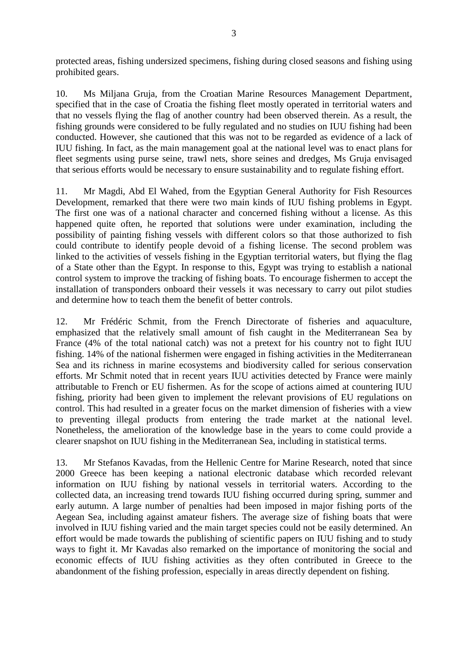protected areas, fishing undersized specimens, fishing during closed seasons and fishing using prohibited gears.

10. Ms Miljana Gruja, from the Croatian Marine Resources Management Department, specified that in the case of Croatia the fishing fleet mostly operated in territorial waters and that no vessels flying the flag of another country had been observed therein. As a result, the fishing grounds were considered to be fully regulated and no studies on IUU fishing had been conducted. However, she cautioned that this was not to be regarded as evidence of a lack of IUU fishing. In fact, as the main management goal at the national level was to enact plans for fleet segments using purse seine, trawl nets, shore seines and dredges, Ms Gruja envisaged that serious efforts would be necessary to ensure sustainability and to regulate fishing effort.

11. Mr Magdi, Abd El Wahed, from the Egyptian General Authority for Fish Resources Development, remarked that there were two main kinds of IUU fishing problems in Egypt. The first one was of a national character and concerned fishing without a license. As this happened quite often, he reported that solutions were under examination, including the possibility of painting fishing vessels with different colors so that those authorized to fish could contribute to identify people devoid of a fishing license. The second problem was linked to the activities of vessels fishing in the Egyptian territorial waters, but flying the flag of a State other than the Egypt. In response to this, Egypt was trying to establish a national control system to improve the tracking of fishing boats. To encourage fishermen to accept the installation of transponders onboard their vessels it was necessary to carry out pilot studies and determine how to teach them the benefit of better controls.

12. Mr Frédéric Schmit, from the French Directorate of fisheries and aquaculture, emphasized that the relatively small amount of fish caught in the Mediterranean Sea by France (4% of the total national catch) was not a pretext for his country not to fight IUU fishing. 14% of the national fishermen were engaged in fishing activities in the Mediterranean Sea and its richness in marine ecosystems and biodiversity called for serious conservation efforts. Mr Schmit noted that in recent years IUU activities detected by France were mainly attributable to French or EU fishermen. As for the scope of actions aimed at countering IUU fishing, priority had been given to implement the relevant provisions of EU regulations on control. This had resulted in a greater focus on the market dimension of fisheries with a view to preventing illegal products from entering the trade market at the national level. Nonetheless, the amelioration of the knowledge base in the years to come could provide a clearer snapshot on IUU fishing in the Mediterranean Sea, including in statistical terms.

13. Mr Stefanos Kavadas, from the Hellenic Centre for Marine Research, noted that since 2000 Greece has been keeping a national electronic database which recorded relevant information on IUU fishing by national vessels in territorial waters. According to the collected data, an increasing trend towards IUU fishing occurred during spring, summer and early autumn. A large number of penalties had been imposed in major fishing ports of the Aegean Sea, including against amateur fishers. The average size of fishing boats that were involved in IUU fishing varied and the main target species could not be easily determined. An effort would be made towards the publishing of scientific papers on IUU fishing and to study ways to fight it. Mr Kavadas also remarked on the importance of monitoring the social and economic effects of IUU fishing activities as they often contributed in Greece to the abandonment of the fishing profession, especially in areas directly dependent on fishing.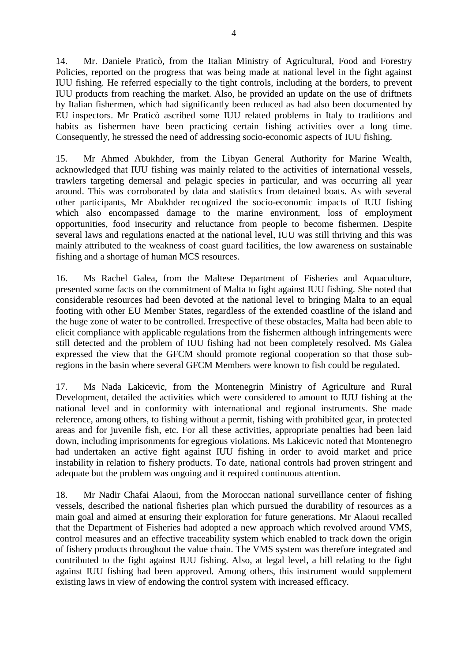14. Mr. Daniele Praticò, from the Italian Ministry of Agricultural, Food and Forestry Policies, reported on the progress that was being made at national level in the fight against IUU fishing. He referred especially to the tight controls, including at the borders, to prevent IUU products from reaching the market. Also, he provided an update on the use of driftnets by Italian fishermen, which had significantly been reduced as had also been documented by EU inspectors. Mr Praticò ascribed some IUU related problems in Italy to traditions and habits as fishermen have been practicing certain fishing activities over a long time. Consequently, he stressed the need of addressing socio-economic aspects of IUU fishing.

15. Mr Ahmed Abukhder, from the Libyan General Authority for Marine Wealth, acknowledged that IUU fishing was mainly related to the activities of international vessels, trawlers targeting demersal and pelagic species in particular, and was occurring all year around. This was corroborated by data and statistics from detained boats. As with several other participants, Mr Abukhder recognized the socio-economic impacts of IUU fishing which also encompassed damage to the marine environment, loss of employment opportunities, food insecurity and reluctance from people to become fishermen. Despite several laws and regulations enacted at the national level, IUU was still thriving and this was mainly attributed to the weakness of coast guard facilities, the low awareness on sustainable fishing and a shortage of human MCS resources.

16. Ms Rachel Galea, from the Maltese Department of Fisheries and Aquaculture, presented some facts on the commitment of Malta to fight against IUU fishing. She noted that considerable resources had been devoted at the national level to bringing Malta to an equal footing with other EU Member States, regardless of the extended coastline of the island and the huge zone of water to be controlled. Irrespective of these obstacles, Malta had been able to elicit compliance with applicable regulations from the fishermen although infringements were still detected and the problem of IUU fishing had not been completely resolved. Ms Galea expressed the view that the GFCM should promote regional cooperation so that those subregions in the basin where several GFCM Members were known to fish could be regulated.

17. Ms Nada Lakicevic, from the Montenegrin Ministry of Agriculture and Rural Development, detailed the activities which were considered to amount to IUU fishing at the national level and in conformity with international and regional instruments. She made reference, among others, to fishing without a permit, fishing with prohibited gear, in protected areas and for juvenile fish, etc. For all these activities, appropriate penalties had been laid down, including imprisonments for egregious violations. Ms Lakicevic noted that Montenegro had undertaken an active fight against IUU fishing in order to avoid market and price instability in relation to fishery products. To date, national controls had proven stringent and adequate but the problem was ongoing and it required continuous attention.

18. Mr Nadir Chafai Alaoui, from the Moroccan national surveillance center of fishing vessels, described the national fisheries plan which pursued the durability of resources as a main goal and aimed at ensuring their exploration for future generations. Mr Alaoui recalled that the Department of Fisheries had adopted a new approach which revolved around VMS, control measures and an effective traceability system which enabled to track down the origin of fishery products throughout the value chain. The VMS system was therefore integrated and contributed to the fight against IUU fishing. Also, at legal level, a bill relating to the fight against IUU fishing had been approved. Among others, this instrument would supplement existing laws in view of endowing the control system with increased efficacy.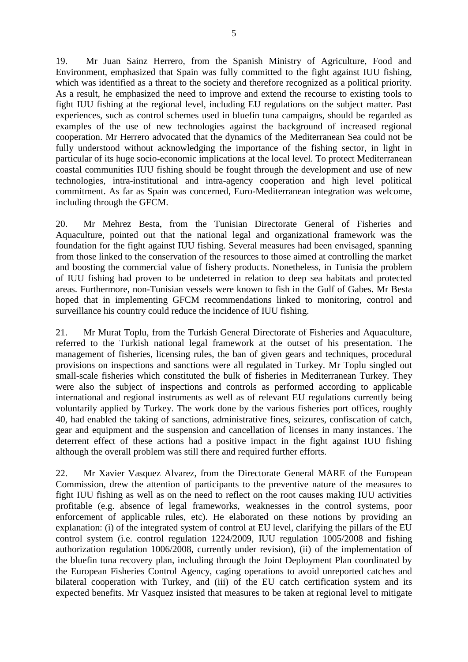19. Mr Juan Sainz Herrero, from the Spanish Ministry of Agriculture, Food and Environment, emphasized that Spain was fully committed to the fight against IUU fishing, which was identified as a threat to the society and therefore recognized as a political priority. As a result, he emphasized the need to improve and extend the recourse to existing tools to fight IUU fishing at the regional level, including EU regulations on the subject matter. Past experiences, such as control schemes used in bluefin tuna campaigns, should be regarded as examples of the use of new technologies against the background of increased regional cooperation. Mr Herrero advocated that the dynamics of the Mediterranean Sea could not be fully understood without acknowledging the importance of the fishing sector, in light in particular of its huge socio-economic implications at the local level. To protect Mediterranean coastal communities IUU fishing should be fought through the development and use of new technologies, intra-institutional and intra-agency cooperation and high level political commitment. As far as Spain was concerned, Euro-Mediterranean integration was welcome, including through the GFCM.

20. Mr Mehrez Besta, from the Tunisian Directorate General of Fisheries and Aquaculture, pointed out that the national legal and organizational framework was the foundation for the fight against IUU fishing. Several measures had been envisaged, spanning from those linked to the conservation of the resources to those aimed at controlling the market and boosting the commercial value of fishery products. Nonetheless, in Tunisia the problem of IUU fishing had proven to be undeterred in relation to deep sea habitats and protected areas. Furthermore, non-Tunisian vessels were known to fish in the Gulf of Gabes. Mr Besta hoped that in implementing GFCM recommendations linked to monitoring, control and surveillance his country could reduce the incidence of IUU fishing.

21. Mr Murat Toplu, from the Turkish General Directorate of Fisheries and Aquaculture, referred to the Turkish national legal framework at the outset of his presentation. The management of fisheries, licensing rules, the ban of given gears and techniques, procedural provisions on inspections and sanctions were all regulated in Turkey. Mr Toplu singled out small-scale fisheries which constituted the bulk of fisheries in Mediterranean Turkey. They were also the subject of inspections and controls as performed according to applicable international and regional instruments as well as of relevant EU regulations currently being voluntarily applied by Turkey. The work done by the various fisheries port offices, roughly 40, had enabled the taking of sanctions, administrative fines, seizures, confiscation of catch, gear and equipment and the suspension and cancellation of licenses in many instances. The deterrent effect of these actions had a positive impact in the fight against IUU fishing although the overall problem was still there and required further efforts.

22. Mr Xavier Vasquez Alvarez, from the Directorate General MARE of the European Commission, drew the attention of participants to the preventive nature of the measures to fight IUU fishing as well as on the need to reflect on the root causes making IUU activities profitable (e.g. absence of legal frameworks, weaknesses in the control systems, poor enforcement of applicable rules, etc). He elaborated on these notions by providing an explanation: (i) of the integrated system of control at EU level, clarifying the pillars of the EU control system (i.e. control regulation 1224/2009, IUU regulation 1005/2008 and fishing authorization regulation 1006/2008, currently under revision), (ii) of the implementation of the bluefin tuna recovery plan, including through the Joint Deployment Plan coordinated by the European Fisheries Control Agency, caging operations to avoid unreported catches and bilateral cooperation with Turkey, and (iii) of the EU catch certification system and its expected benefits. Mr Vasquez insisted that measures to be taken at regional level to mitigate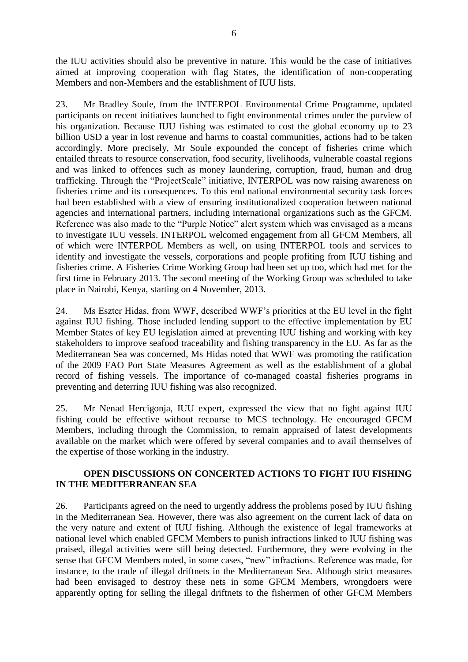the IUU activities should also be preventive in nature. This would be the case of initiatives aimed at improving cooperation with flag States, the identification of non-cooperating Members and non-Members and the establishment of IUU lists.

23. Mr Bradley Soule, from the INTERPOL Environmental Crime Programme, updated participants on recent initiatives launched to fight environmental crimes under the purview of his organization. Because IUU fishing was estimated to cost the global economy up to 23 billion USD a year in lost revenue and harms to coastal communities, actions had to be taken accordingly. More precisely, Mr Soule expounded the concept of fisheries crime which entailed threats to resource conservation, food security, livelihoods, vulnerable coastal regions and was linked to offences such as money laundering, corruption, fraud, human and drug trafficking. Through the "ProjectScale" initiative, INTERPOL was now raising awareness on fisheries crime and its consequences. To this end national environmental security task forces had been established with a view of ensuring institutionalized cooperation between national agencies and international partners, including international organizations such as the GFCM. Reference was also made to the "Purple Notice" alert system which was envisaged as a means to investigate IUU vessels. INTERPOL welcomed engagement from all GFCM Members, all of which were INTERPOL Members as well, on using INTERPOL tools and services to identify and investigate the vessels, corporations and people profiting from IUU fishing and fisheries crime. A Fisheries Crime Working Group had been set up too, which had met for the first time in February 2013. The second meeting of the Working Group was scheduled to take place in Nairobi, Kenya, starting on 4 November, 2013.

24. Ms Eszter Hidas, from WWF, described WWF's priorities at the EU level in the fight against IUU fishing. Those included lending support to the effective implementation by EU Member States of key EU legislation aimed at preventing IUU fishing and working with key stakeholders to improve seafood traceability and fishing transparency in the EU. As far as the Mediterranean Sea was concerned, Ms Hidas noted that WWF was promoting the ratification of the 2009 FAO Port State Measures Agreement as well as the establishment of a global record of fishing vessels. The importance of co-managed coastal fisheries programs in preventing and deterring IUU fishing was also recognized.

25. Mr Nenad Hercigonja, IUU expert, expressed the view that no fight against IUU fishing could be effective without recourse to MCS technology. He encouraged GFCM Members, including through the Commission, to remain appraised of latest developments available on the market which were offered by several companies and to avail themselves of the expertise of those working in the industry.

# **OPEN DISCUSSIONS ON CONCERTED ACTIONS TO FIGHT IUU FISHING IN THE MEDITERRANEAN SEA**

26. Participants agreed on the need to urgently address the problems posed by IUU fishing in the Mediterranean Sea. However, there was also agreement on the current lack of data on the very nature and extent of IUU fishing. Although the existence of legal frameworks at national level which enabled GFCM Members to punish infractions linked to IUU fishing was praised, illegal activities were still being detected. Furthermore, they were evolving in the sense that GFCM Members noted, in some cases, "new" infractions. Reference was made, for instance, to the trade of illegal driftnets in the Mediterranean Sea. Although strict measures had been envisaged to destroy these nets in some GFCM Members, wrongdoers were apparently opting for selling the illegal driftnets to the fishermen of other GFCM Members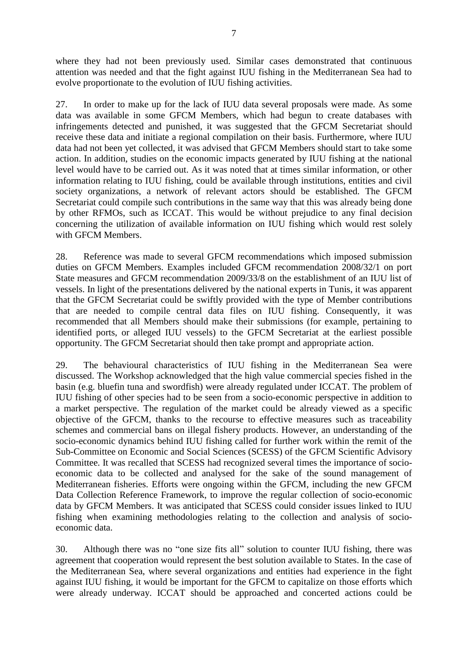where they had not been previously used. Similar cases demonstrated that continuous attention was needed and that the fight against IUU fishing in the Mediterranean Sea had to evolve proportionate to the evolution of IUU fishing activities.

27. In order to make up for the lack of IUU data several proposals were made. As some data was available in some GFCM Members, which had begun to create databases with infringements detected and punished, it was suggested that the GFCM Secretariat should receive these data and initiate a regional compilation on their basis. Furthermore, where IUU data had not been yet collected, it was advised that GFCM Members should start to take some action. In addition, studies on the economic impacts generated by IUU fishing at the national level would have to be carried out. As it was noted that at times similar information, or other information relating to IUU fishing, could be available through institutions, entities and civil society organizations, a network of relevant actors should be established. The GFCM Secretariat could compile such contributions in the same way that this was already being done by other RFMOs, such as ICCAT. This would be without prejudice to any final decision concerning the utilization of available information on IUU fishing which would rest solely with GFCM Members.

28. Reference was made to several GFCM recommendations which imposed submission duties on GFCM Members. Examples included GFCM recommendation 2008/32/1 on port State measures and GFCM recommendation 2009/33/8 on the establishment of an IUU list of vessels. In light of the presentations delivered by the national experts in Tunis, it was apparent that the GFCM Secretariat could be swiftly provided with the type of Member contributions that are needed to compile central data files on IUU fishing. Consequently, it was recommended that all Members should make their submissions (for example, pertaining to identified ports, or alleged IUU vessels) to the GFCM Secretariat at the earliest possible opportunity. The GFCM Secretariat should then take prompt and appropriate action.

29. The behavioural characteristics of IUU fishing in the Mediterranean Sea were discussed. The Workshop acknowledged that the high value commercial species fished in the basin (e.g. bluefin tuna and swordfish) were already regulated under ICCAT. The problem of IUU fishing of other species had to be seen from a socio-economic perspective in addition to a market perspective. The regulation of the market could be already viewed as a specific objective of the GFCM, thanks to the recourse to effective measures such as traceability schemes and commercial bans on illegal fishery products. However, an understanding of the socio-economic dynamics behind IUU fishing called for further work within the remit of the Sub-Committee on Economic and Social Sciences (SCESS) of the GFCM Scientific Advisory Committee. It was recalled that SCESS had recognized several times the importance of socioeconomic data to be collected and analysed for the sake of the sound management of Mediterranean fisheries. Efforts were ongoing within the GFCM, including the new GFCM Data Collection Reference Framework, to improve the regular collection of socio-economic data by GFCM Members. It was anticipated that SCESS could consider issues linked to IUU fishing when examining methodologies relating to the collection and analysis of socioeconomic data.

30. Although there was no "one size fits all" solution to counter IUU fishing, there was agreement that cooperation would represent the best solution available to States. In the case of the Mediterranean Sea, where several organizations and entities had experience in the fight against IUU fishing, it would be important for the GFCM to capitalize on those efforts which were already underway. ICCAT should be approached and concerted actions could be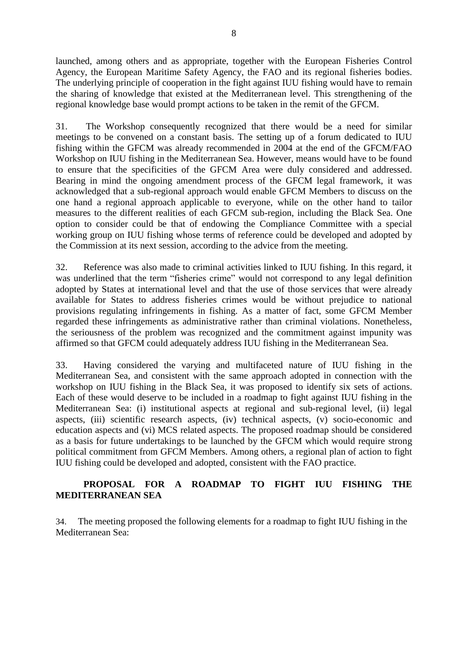launched, among others and as appropriate, together with the European Fisheries Control Agency, the European Maritime Safety Agency, the FAO and its regional fisheries bodies. The underlying principle of cooperation in the fight against IUU fishing would have to remain the sharing of knowledge that existed at the Mediterranean level. This strengthening of the regional knowledge base would prompt actions to be taken in the remit of the GFCM.

31. The Workshop consequently recognized that there would be a need for similar meetings to be convened on a constant basis. The setting up of a forum dedicated to IUU fishing within the GFCM was already recommended in 2004 at the end of the GFCM/FAO Workshop on IUU fishing in the Mediterranean Sea. However, means would have to be found to ensure that the specificities of the GFCM Area were duly considered and addressed. Bearing in mind the ongoing amendment process of the GFCM legal framework, it was acknowledged that a sub-regional approach would enable GFCM Members to discuss on the one hand a regional approach applicable to everyone, while on the other hand to tailor measures to the different realities of each GFCM sub-region, including the Black Sea. One option to consider could be that of endowing the Compliance Committee with a special working group on IUU fishing whose terms of reference could be developed and adopted by the Commission at its next session, according to the advice from the meeting.

32. Reference was also made to criminal activities linked to IUU fishing. In this regard, it was underlined that the term "fisheries crime" would not correspond to any legal definition adopted by States at international level and that the use of those services that were already available for States to address fisheries crimes would be without prejudice to national provisions regulating infringements in fishing. As a matter of fact, some GFCM Member regarded these infringements as administrative rather than criminal violations. Nonetheless, the seriousness of the problem was recognized and the commitment against impunity was affirmed so that GFCM could adequately address IUU fishing in the Mediterranean Sea.

33. Having considered the varying and multifaceted nature of IUU fishing in the Mediterranean Sea, and consistent with the same approach adopted in connection with the workshop on IUU fishing in the Black Sea, it was proposed to identify six sets of actions. Each of these would deserve to be included in a roadmap to fight against IUU fishing in the Mediterranean Sea: (i) institutional aspects at regional and sub-regional level, (ii) legal aspects, (iii) scientific research aspects, (iv) technical aspects, (v) socio-economic and education aspects and (vi) MCS related aspects. The proposed roadmap should be considered as a basis for future undertakings to be launched by the GFCM which would require strong political commitment from GFCM Members. Among others, a regional plan of action to fight IUU fishing could be developed and adopted, consistent with the FAO practice.

# **PROPOSAL FOR A ROADMAP TO FIGHT IUU FISHING THE MEDITERRANEAN SEA**

34. The meeting proposed the following elements for a roadmap to fight IUU fishing in the Mediterranean Sea: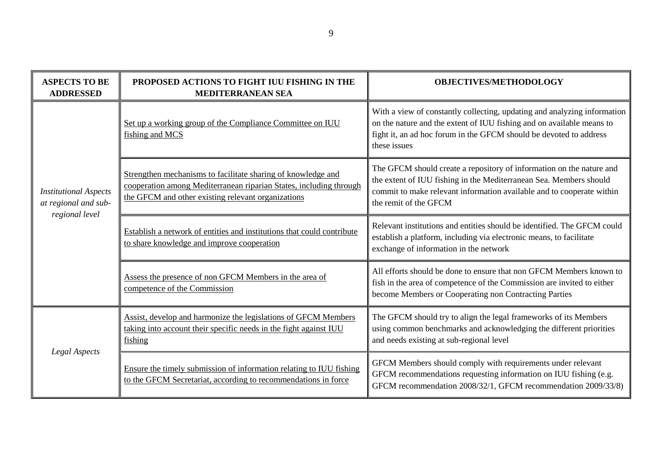| <b>ASPECTS TO BE</b><br><b>ADDRESSED</b>                               | PROPOSED ACTIONS TO FIGHT IUU FISHING IN THE<br><b>MEDITERRANEAN SEA</b>                                                                                                                 | <b>OBJECTIVES/METHODOLOGY</b>                                                                                                                                                                                                                |
|------------------------------------------------------------------------|------------------------------------------------------------------------------------------------------------------------------------------------------------------------------------------|----------------------------------------------------------------------------------------------------------------------------------------------------------------------------------------------------------------------------------------------|
| <b>Institutional Aspects</b><br>at regional and sub-<br>regional level | Set up a working group of the Compliance Committee on IUU<br>fishing and MCS                                                                                                             | With a view of constantly collecting, updating and analyzing information<br>on the nature and the extent of IUU fishing and on available means to<br>fight it, an ad hoc forum in the GFCM should be devoted to address<br>these issues      |
|                                                                        | Strengthen mechanisms to facilitate sharing of knowledge and<br>cooperation among Mediterranean riparian States, including through<br>the GFCM and other existing relevant organizations | The GFCM should create a repository of information on the nature and<br>the extent of IUU fishing in the Mediterranean Sea. Members should<br>commit to make relevant information available and to cooperate within<br>the remit of the GFCM |
|                                                                        | Establish a network of entities and institutions that could contribute<br>to share knowledge and improve cooperation                                                                     | Relevant institutions and entities should be identified. The GFCM could<br>establish a platform, including via electronic means, to facilitate<br>exchange of information in the network                                                     |
|                                                                        | Assess the presence of non GFCM Members in the area of<br>competence of the Commission                                                                                                   | All efforts should be done to ensure that non GFCM Members known to<br>fish in the area of competence of the Commission are invited to either<br>become Members or Cooperating non Contracting Parties                                       |
| Legal Aspects                                                          | Assist, develop and harmonize the legislations of GFCM Members<br>taking into account their specific needs in the fight against IUU<br>fishing                                           | The GFCM should try to align the legal frameworks of its Members<br>using common benchmarks and acknowledging the different priorities<br>and needs existing at sub-regional level                                                           |
|                                                                        | Ensure the timely submission of information relating to IUU fishing<br>to the GFCM Secretariat, according to recommendations in force                                                    | GFCM Members should comply with requirements under relevant<br>GFCM recommendations requesting information on IUU fishing (e.g.<br>GFCM recommendation 2008/32/1, GFCM recommendation 2009/33/8)                                             |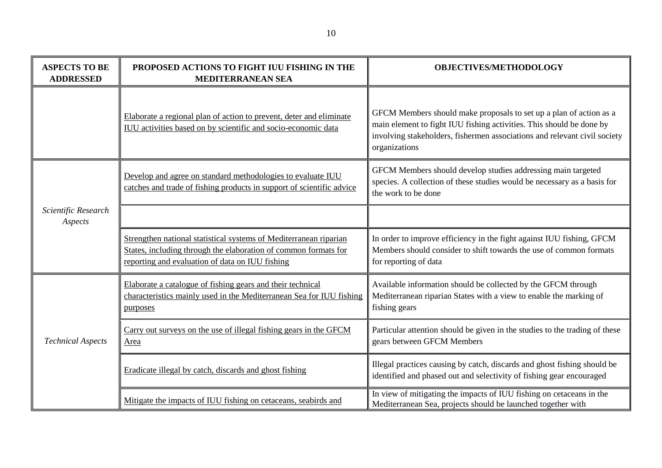| <b>ASPECTS TO BE</b><br><b>ADDRESSED</b> | PROPOSED ACTIONS TO FIGHT IUU FISHING IN THE<br><b>MEDITERRANEAN SEA</b>                                                                                                                | <b>OBJECTIVES/METHODOLOGY</b>                                                                                                                                                                                                            |
|------------------------------------------|-----------------------------------------------------------------------------------------------------------------------------------------------------------------------------------------|------------------------------------------------------------------------------------------------------------------------------------------------------------------------------------------------------------------------------------------|
|                                          | Elaborate a regional plan of action to prevent, deter and eliminate<br>IUU activities based on by scientific and socio-economic data                                                    | GFCM Members should make proposals to set up a plan of action as a<br>main element to fight IUU fishing activities. This should be done by<br>involving stakeholders, fishermen associations and relevant civil society<br>organizations |
|                                          | Develop and agree on standard methodologies to evaluate IUU<br>catches and trade of fishing products in support of scientific advice                                                    | GFCM Members should develop studies addressing main targeted<br>species. A collection of these studies would be necessary as a basis for<br>the work to be done                                                                          |
| Scientific Research<br>Aspects           |                                                                                                                                                                                         |                                                                                                                                                                                                                                          |
|                                          | Strengthen national statistical systems of Mediterranean riparian<br>States, including through the elaboration of common formats for<br>reporting and evaluation of data on IUU fishing | In order to improve efficiency in the fight against IUU fishing, GFCM<br>Members should consider to shift towards the use of common formats<br>for reporting of data                                                                     |
| <b>Technical Aspects</b>                 | Elaborate a catalogue of fishing gears and their technical<br>characteristics mainly used in the Mediterranean Sea for IUU fishing<br>purposes                                          | Available information should be collected by the GFCM through<br>Mediterranean riparian States with a view to enable the marking of<br>fishing gears                                                                                     |
|                                          | Carry out surveys on the use of illegal fishing gears in the GFCM<br>Area                                                                                                               | Particular attention should be given in the studies to the trading of these<br>gears between GFCM Members                                                                                                                                |
|                                          | Eradicate illegal by catch, discards and ghost fishing                                                                                                                                  | Illegal practices causing by catch, discards and ghost fishing should be<br>identified and phased out and selectivity of fishing gear encouraged                                                                                         |
|                                          | Mitigate the impacts of IUU fishing on cetaceans, seabirds and                                                                                                                          | In view of mitigating the impacts of IUU fishing on cetaceans in the<br>Mediterranean Sea, projects should be launched together with                                                                                                     |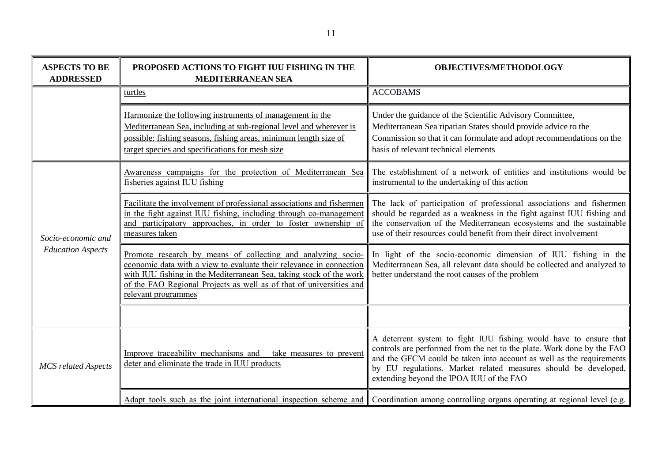| <b>ASPECTS TO BE</b><br><b>ADDRESSED</b>       | PROPOSED ACTIONS TO FIGHT IUU FISHING IN THE<br><b>MEDITERRANEAN SEA</b>                                                                                                                                                                                                                                 | <b>OBJECTIVES/METHODOLOGY</b>                                                                                                                                                                                                                                                                                                      |  |
|------------------------------------------------|----------------------------------------------------------------------------------------------------------------------------------------------------------------------------------------------------------------------------------------------------------------------------------------------------------|------------------------------------------------------------------------------------------------------------------------------------------------------------------------------------------------------------------------------------------------------------------------------------------------------------------------------------|--|
| turtles                                        |                                                                                                                                                                                                                                                                                                          | <b>ACCOBAMS</b>                                                                                                                                                                                                                                                                                                                    |  |
|                                                | Harmonize the following instruments of management in the<br>Mediterranean Sea, including at sub-regional level and wherever is<br>possible: fishing seasons, fishing areas, minimum length size of<br>target species and specifications for mesh size                                                    | Under the guidance of the Scientific Advisory Committee,<br>Mediterranean Sea riparian States should provide advice to the<br>Commission so that it can formulate and adopt recommendations on the<br>basis of relevant technical elements                                                                                         |  |
|                                                | Awareness campaigns for the protection of Mediterranean Sea<br>fisheries against IUU fishing                                                                                                                                                                                                             | The establishment of a network of entities and institutions would be<br>instrumental to the undertaking of this action                                                                                                                                                                                                             |  |
| Socio-economic and<br><b>Education Aspects</b> | Facilitate the involvement of professional associations and fishermen<br>in the fight against IUU fishing, including through co-management<br>and participatory approaches, in order to foster ownership of<br>measures taken                                                                            | The lack of participation of professional associations and fishermen<br>should be regarded as a weakness in the fight against IUU fishing and<br>the conservation of the Mediterranean ecosystems and the sustainable<br>use of their resources could benefit from their direct involvement                                        |  |
|                                                | Promote research by means of collecting and analyzing socio-<br>economic data with a view to evaluate their relevance in connection<br>with IUU fishing in the Mediterranean Sea, taking stock of the work<br>of the FAO Regional Projects as well as of that of universities and<br>relevant programmes | In light of the socio-economic dimension of IUU fishing in the<br>Mediterranean Sea, all relevant data should be collected and analyzed to<br>better understand the root causes of the problem                                                                                                                                     |  |
|                                                |                                                                                                                                                                                                                                                                                                          |                                                                                                                                                                                                                                                                                                                                    |  |
| <b>MCS</b> related Aspects                     | Improve traceability mechanisms and take measures to prevent<br>deter and eliminate the trade in IUU products                                                                                                                                                                                            | A deterrent system to fight IUU fishing would have to ensure that<br>controls are performed from the net to the plate. Work done by the FAO<br>and the GFCM could be taken into account as well as the requirements<br>by EU regulations. Market related measures should be developed,<br>extending beyond the IPOA IUU of the FAO |  |
|                                                |                                                                                                                                                                                                                                                                                                          | Adapt tools such as the joint international inspection scheme and Coordination among controlling organs operating at regional level (e.g.                                                                                                                                                                                          |  |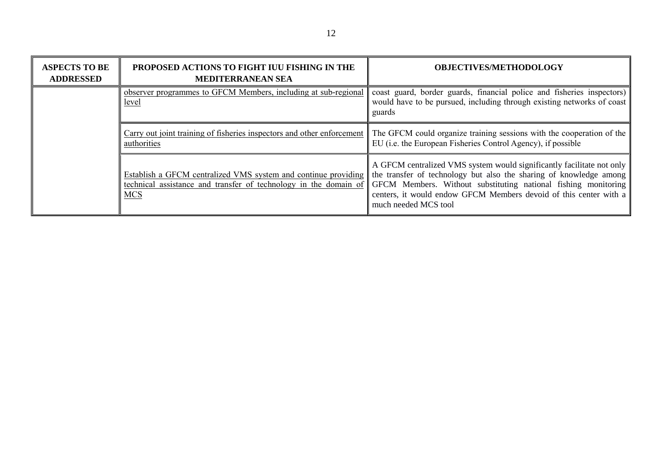| <b>ASPECTS TO BE</b><br><b>ADDRESSED</b> | PROPOSED ACTIONS TO FIGHT IUU FISHING IN THE<br><b>MEDITERRANEAN SEA</b>                                                                         | <b>OBJECTIVES/METHODOLOGY</b>                                                                                                                                                                                                                                                                              |
|------------------------------------------|--------------------------------------------------------------------------------------------------------------------------------------------------|------------------------------------------------------------------------------------------------------------------------------------------------------------------------------------------------------------------------------------------------------------------------------------------------------------|
|                                          | observer programmes to GFCM Members, including at sub-regional<br>level                                                                          | coast guard, border guards, financial police and fisheries inspectors)<br>would have to be pursued, including through existing networks of coast<br>guards                                                                                                                                                 |
|                                          | Carry out joint training of fisheries inspectors and other enforcement<br>authorities                                                            | The GFCM could organize training sessions with the cooperation of the<br>EU (i.e. the European Fisheries Control Agency), if possible                                                                                                                                                                      |
|                                          | Establish a GFCM centralized VMS system and continue providing<br>technical assistance and transfer of technology in the domain of<br><b>MCS</b> | A GFCM centralized VMS system would significantly facilitate not only<br>the transfer of technology but also the sharing of knowledge among<br>GFCM Members. Without substituting national fishing monitoring<br>centers, it would endow GFCM Members devoid of this center with a<br>much needed MCS tool |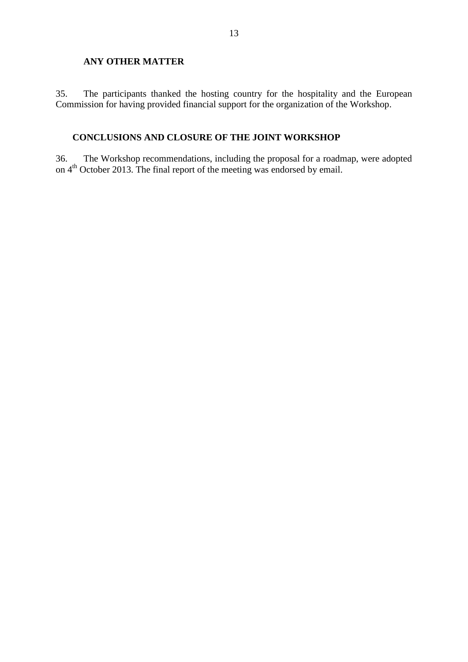## **ANY OTHER MATTER**

35. The participants thanked the hosting country for the hospitality and the European Commission for having provided financial support for the organization of the Workshop.

# **CONCLUSIONS AND CLOSURE OF THE JOINT WORKSHOP**

36. The Workshop recommendations, including the proposal for a roadmap, were adopted on 4<sup>th</sup> October 2013. The final report of the meeting was endorsed by email.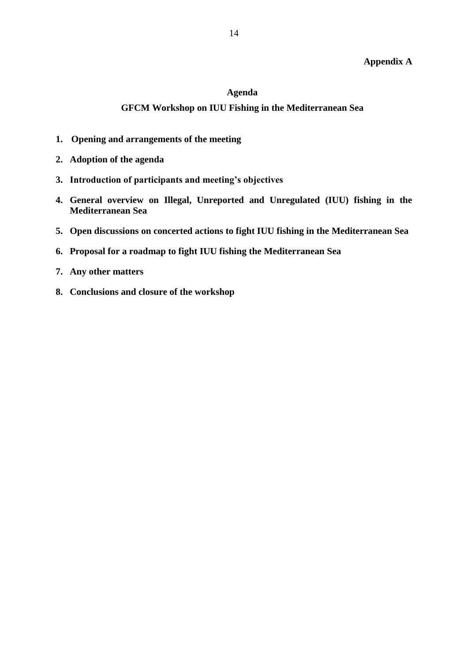# **Appendix A**

### **Agenda**

### **GFCM Workshop on IUU Fishing in the Mediterranean Sea**

- **1. Opening and arrangements of the meeting**
- **2. Adoption of the agenda**
- **3. Introduction of participants and meeting's objectives**
- **4. General overview on Illegal, Unreported and Unregulated (IUU) fishing in the Mediterranean Sea**
- **5. Open discussions on concerted actions to fight IUU fishing in the Mediterranean Sea**
- **6. Proposal for a roadmap to fight IUU fishing the Mediterranean Sea**
- **7. Any other matters**
- **8. Conclusions and closure of the workshop**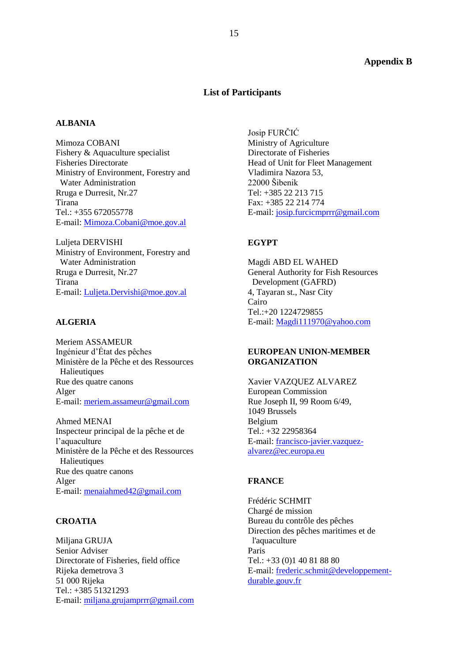### **Appendix B**

### **List of Participants**

#### **ALBANIA**

Mimoza COBANI Fishery & Aquaculture specialist Fisheries Directorate Ministry of Environment, Forestry and Water Administration Rruga e Durresit, Nr.27 Tirana  $Tel + 355 672055778$ E-mail: [Mimoza.Cobani@moe.gov.al](mailto:Mimoza.Cobani@moe.gov.al)

Luljeta DERVISHI Ministry of Environment, Forestry and Water Administration Rruga e Durresit, Nr.27 Tirana E-mail: [Luljeta.Dervishi@moe.gov.al](mailto:Luljeta.Dervishi@moe.gov.al)

### **ALGERIA**

Meriem ASSAMEUR Ingénieur d'État des pêches Ministère de la Pêche et des Ressources **Halieutiques** Rue des quatre canons Alger E-mail: [meriem.assameur@gmail.com](mailto:meriem.assameur@gmail.com)

Ahmed MENAI Inspecteur principal de la pêche et de l'aquaculture Ministère de la Pêche et des Ressources **Halieutiques** Rue des quatre canons Alger E-mail: [menaiahmed42@gmail.com](mailto:menaiahmed42@gmail.com)

## **CROATIA**

Miljana GRUJA Senior Adviser Directorate of Fisheries, field office Rijeka demetrova 3 51 000 Rijeka Tel.: +385 51321293 E-mail: [miljana.grujamprrr@gmail.com](mailto:miljana.grujamprrr@gmail.com)

Josip FURČIĆ Ministry of Agriculture Directorate of Fisheries Head of Unit for Fleet Management Vladimira Nazora 53, 22000 Šibenik Tel: +385 22 213 715 Fax: +385 22 214 774 E-mail: [josip.furcicmprrr@gmail.com](mailto:josip.furcicmprrr@gmail.com)

#### **EGYPT**

Magdi ABD EL WAHED General Authority for Fish Resources Development (GAFRD) 4, Tayaran st., Nasr City Cairo Tel.:+20 1224729855 E-mail: [Magdi111970@yahoo.com](mailto:Magdi111970@yahoo.com)

### **EUROPEAN UNION-MEMBER ORGANIZATION**

Xavier VAZQUEZ ALVAREZ European Commission Rue Joseph II, 99 Room 6/49, 1049 Brussels Belgium Tel.: +32 22958364 E-mail: [francisco-javier.vazquez](mailto:francisco-javier.vazquez-alvarez@ec.europa.eu)[alvarez@ec.europa.eu](mailto:francisco-javier.vazquez-alvarez@ec.europa.eu)

### **FRANCE**

Frédéric SCHMIT Chargé de mission Bureau du contrôle des pêches Direction des pêches maritimes et de l'aquaculture Paris Tel.: +33 (0)1 40 81 88 80 E-mail: [frederic.schmit@developpement](mailto:frederic.schmit@developpement-durable.gouv.fr)[durable.gouv.fr](mailto:frederic.schmit@developpement-durable.gouv.fr)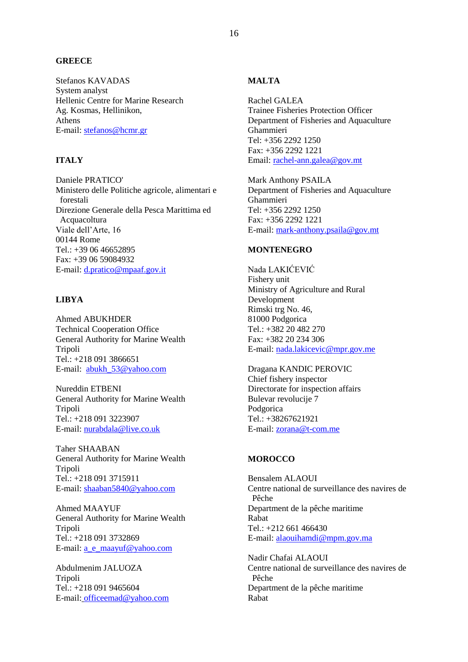### **GREECE**

Stefanos KAVADAS System analyst Hellenic Centre for Marine Research Ag. Kosmas, Hellinikon, Athens E-mail: [stefanos@hcmr.gr](mailto:stefanos@hcmr.gr)

### **ITALY**

Daniele PRATICO' Ministero delle Politiche agricole, alimentari e forestali Direzione Generale della Pesca Marittima ed Acquacoltura Viale dell'Arte, 16 00144 Rome Tel.: +39 06 46652895 Fax: +39 06 59084932 E-mail: [d.pratico@mpaaf.gov.it](mailto:d.pratico@mpaaf.gov.it)

## **LIBYA**

Ahmed ABUKHDER Technical Cooperation Office General Authority for Marine Wealth Tripoli Tel.: +218 091 3866651 E-mail: [abukh\\_53@yahoo.com](mailto:abukh_53@yahoo.com)

Nureddin ETBENI General Authority for Marine Wealth Tripoli Tel.: +218 091 3223907 E-mail: [nurabdala@live.co.uk](mailto:nurabdala@live.co.uk)

Taher SHAABAN General Authority for Marine Wealth Tripoli Tel.: +218 091 3715911 E-mail: [shaaban5840@yahoo.com](mailto:shaaban5840@yahoo.com)

Ahmed MAAYUF General Authority for Marine Wealth Tripoli Tel.: +218 091 3732869 E-mail: [a\\_e\\_maayuf@yahoo.com](mailto:a_e_maayuf@yahoo.com)

Abdulmenim JALUOZA Tripoli Tel.: +218 091 9465604 E-mail: [officeemad@yahoo.com](mailto:officeemad@yahoo.com)

### **MALTA**

Rachel GALEA Trainee Fisheries Protection Officer Department of Fisheries and Aquaculture Ghammieri Tel: +356 2292 1250 Fax: +356 2292 1221 Email: [rachel-ann.galea@gov.mt](mailto:rachel-ann.galea@gov.mt)

Mark Anthony PSAILA Department of Fisheries and Aquaculture Ghammieri Tel: +356 2292 1250 Fax: +356 2292 1221 E-mail: [mark-anthony.psaila@gov.mt](mailto:mark-anthony.psaila@gov.mt)

### **MONTENEGRO**

Nada LAKIĆEVIĆ Fishery unit Ministry of Agriculture and Rural Development Rimski trg No. 46, 81000 Podgorica Tel.: +382 20 482 270 Fax: +382 20 234 306 E-mail: [nada.lakicevic@mpr.gov.me](mailto:nada.lakicevic@mpr.gov.me)

Dragana KANDIC PEROVIC Chief fishery inspector Directorate for inspection affairs Bulevar revolucije 7 Podgorica Tel.: +38267621921 E-mail: [zorana@t-com.me](mailto:zorana@t-com.me)

#### **MOROCCO**

Bensalem ALAOUI Centre national de surveillance des navires de Pêche Department de la pêche maritime Rabat Tel.: +212 661 466430 E-mail: [alaouihamdi@mpm.gov.ma](mailto:alaouihamdi@mpm.gov.ma)

Nadir Chafai ALAOUI Centre national de surveillance des navires de Pêche Department de la pêche maritime Rabat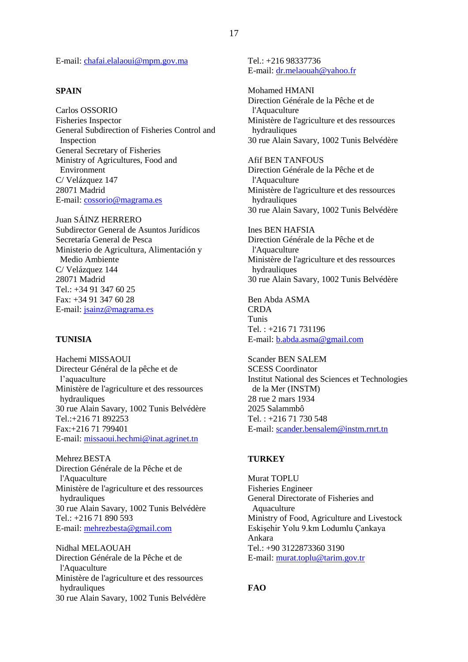E-mail: [chafai.elalaoui@mpm.gov.ma](mailto:chafai.elalaoui@mpm.gov.ma)

### **SPAIN**

Carlos OSSORIO Fisheries Inspector General Subdirection of Fisheries Control and Inspection General Secretary of Fisheries Ministry of Agricultures, Food and Environment C/ Velázquez 147 28071 Madrid E-mail: [cossorio@magrama.es](mailto:cossorio@magrama.es)

Juan SÁINZ HERRERO Subdirector General de Asuntos Jurídicos Secretaría General de Pesca Ministerio de Agricultura, Alimentación y Medio Ambiente C/ Velázquez 144 28071 Madrid  $Tel \cdot +34913476025$ Fax: +34 91 347 60 28 E-mail: [jsainz@magrama.es](mailto:jsainz@magrama.es)

### **TUNISIA**

Hachemi MISSAOUI Directeur Général de la pêche et de l'aquaculture Ministère de l'agriculture et des ressources hydrauliques 30 rue Alain Savary, 1002 Tunis Belvédère Tel.:+216 71 892253 Fax:+216 71 799401 E-mail: [missaoui.hechmi@inat.agrinet.tn](mailto:missaoui.hechmi@inat.agrinet.tn) 

Mehrez BESTA Direction Générale de la Pêche et de l'Aquaculture Ministère de l'agriculture et des ressources hydrauliques 30 rue Alain Savary, 1002 Tunis Belvédère Tel.: +216 71 890 593 E-mail: [mehrezbesta@gmail.com](mailto:mehrezbesta@gmail.com)

Nidhal MELAOUAH Direction Générale de la Pêche et de l'Aquaculture Ministère de l'agriculture et des ressources hydrauliques 30 rue Alain Savary, 1002 Tunis Belvédère Tel.: +216 98337736 E-mail: [dr.melaouah@yahoo.fr](mailto:dr.melaouah@yahoo.fr)

Mohamed HMANI Direction Générale de la Pêche et de l'Aquaculture Ministère de l'agriculture et des ressources hydrauliques 30 rue Alain Savary, 1002 Tunis Belvédère

Afif BEN TANFOUS Direction Générale de la Pêche et de l'Aquaculture Ministère de l'agriculture et des ressources hydrauliques 30 rue Alain Savary, 1002 Tunis Belvédère

Ines BEN HAFSIA Direction Générale de la Pêche et de l'Aquaculture Ministère de l'agriculture et des ressources hydrauliques 30 rue Alain Savary, 1002 Tunis Belvédère

Ben Abda ASMA CRDA Tunis Tel. : +216 71 731196 E-mail: [b.abda.asma@gmail.com](mailto:b.abda.asma@gmail.com)

Scander BEN SALEM SCESS Coordinator Institut National des Sciences et Technologies de la Mer (INSTM) 28 rue 2 mars 1934 2025 Salammbô Tel. : +216 71 730 548 E-mail: [scander.bensalem@instm.rnrt.tn](mailto:scander.bensalem@instm.rnrt.tn)

#### **TURKEY**

Murat TOPLU Fisheries Engineer General Directorate of Fisheries and Aquaculture Ministry of Food, Agriculture and Livestock Eskişehir Yolu 9.km Lodumlu Çankaya Ankara Tel.: +90 3122873360 3190 E-mail: [murat.toplu@tarim.gov.tr](mailto:murat.toplu@tarim.gov.tr)

### **FAO**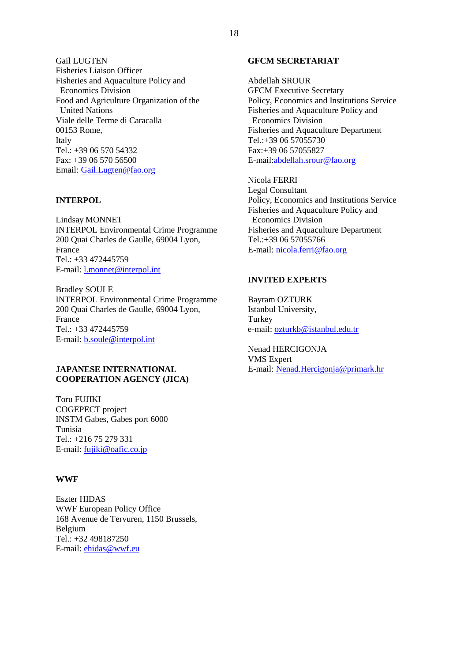Gail LUGTEN Fisheries Liaison Officer Fisheries and Aquaculture Policy and Economics Division Food and Agriculture Organization of the United Nations Viale delle Terme di Caracalla 00153 Rome, Italy Tel.: +39 06 570 54332 Fax: +39 06 570 56500 Email: [Gail.Lugten@fao.org](mailto:Gail.Lugten@fao.org)

### **INTERPOL**

Lindsay MONNET INTERPOL Environmental Crime Programme 200 Quai Charles de Gaulle, 69004 Lyon, France Tel.: +33 472445759 E-mail: [l.monnet@interpol.int](mailto:l.monnet@interpol.int)

Bradley SOULE INTERPOL Environmental Crime Programme 200 Quai Charles de Gaulle, 69004 Lyon, France Tel.: +33 472445759 E-mail: [b.soule@interpol.int](mailto:b.soule@interpol.int)

### **JAPANESE INTERNATIONAL COOPERATION AGENCY (JICA)**

Toru FUJIKI COGEPECT project INSTM Gabes, Gabes port 6000 Tunisia Tel.: +216 75 279 331 E-mail: [fujiki@oafic.co.jp](mailto:fujiki@oafic.co.jp)

#### **WWF**

Eszter HIDAS WWF European Policy Office 168 Avenue de Tervuren, 1150 Brussels, Belgium Tel.: +32 498187250 E-mail: [ehidas@wwf.eu](mailto:ehidas@wwf.eu)

### **GFCM SECRETARIAT**

Abdellah SROUR GFCM Executive Secretary Policy, Economics and Institutions Service Fisheries and Aquaculture Policy and Economics Division Fisheries and Aquaculture Department Tel.:+39 06 57055730 Fax:+39 06 57055827 E-mail[:abdellah.srour@fao.org](mailto:abdellah.srour@fao.org)

Nicola FERRI

Legal Consultant Policy, Economics and Institutions Service Fisheries and Aquaculture Policy and Economics Division Fisheries and Aquaculture Department Tel.:+39 06 57055766 E-mail: [nicola.ferri@fao.org](mailto:nicola.ferri@fao.org)

## **INVITED EXPERTS**

Bayram OZTURK Istanbul University, Turkey e-mail: [ozturkb@istanbul.edu.tr](mailto:ozturkb@istanbul.edu.tr)

Nenad HERCIGONJA VMS Expert E-mail: [Nenad.Hercigonja@primark.hr](mailto:Nenad.Hercigonja@primark.hr)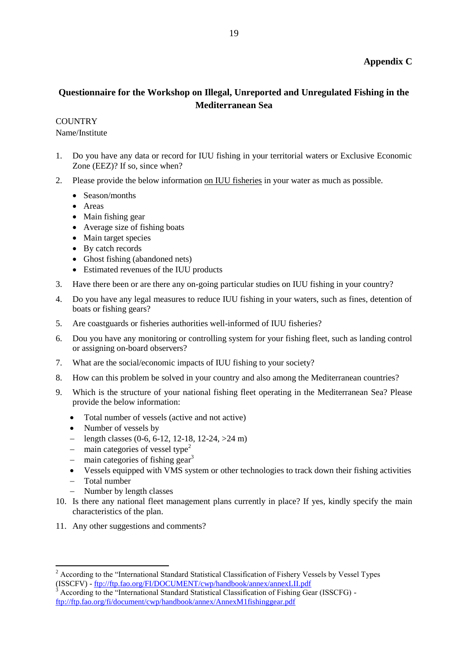# **Appendix C**

# **Questionnaire for the Workshop on Illegal, Unreported and Unregulated Fishing in the Mediterranean Sea**

**COUNTRY** 

Name/Institute

- 1. Do you have any data or record for IUU fishing in your territorial waters or Exclusive Economic Zone (EEZ)? If so, since when?
- 2. Please provide the below information on IUU fisheries in your water as much as possible.
	- Season/months
	- Areas
	- Main fishing gear
	- Average size of fishing boats
	- Main target species
	- By catch records
	- Ghost fishing (abandoned nets)
	- Estimated revenues of the IUU products
- 3. Have there been or are there any on-going particular studies on IUU fishing in your country?
- 4. Do you have any legal measures to reduce IUU fishing in your waters, such as fines, detention of boats or fishing gears?
- 5. Are coastguards or fisheries authorities well-informed of IUU fisheries?
- 6. Dou you have any monitoring or controlling system for your fishing fleet, such as landing control or assigning on-board observers?
- 7. What are the social/economic impacts of IUU fishing to your society?
- 8. How can this problem be solved in your country and also among the Mediterranean countries?
- 9. Which is the structure of your national fishing fleet operating in the Mediterranean Sea? Please provide the below information:
	- Total number of vessels (active and not active)
	- Number of vessels by
	- length classes  $(0-6, 6-12, 12-18, 12-24, >24 \text{ m})$
	- main categories of vessel type<sup>2</sup>
	- $-$  main categories of fishing gear<sup>3</sup>
	- Vessels equipped with VMS system or other technologies to track down their fishing activities
	- Total number
	- Number by length classes
- 10. Is there any national fleet management plans currently in place? If yes, kindly specify the main characteristics of the plan.
- 11. Any other suggestions and comments?

 $\overline{\phantom{a}}$  $2$  According to the "International Standard Statistical Classification of Fishery Vessels by Vessel Types (ISSCFV) - <ftp://ftp.fao.org/FI/DOCUMENT/cwp/handbook/annex/annexLII.pdf>

<sup>3</sup> According to the "International Standard Statistical Classification of Fishing Gear (ISSCFG) <ftp://ftp.fao.org/fi/document/cwp/handbook/annex/AnnexM1fishinggear.pdf>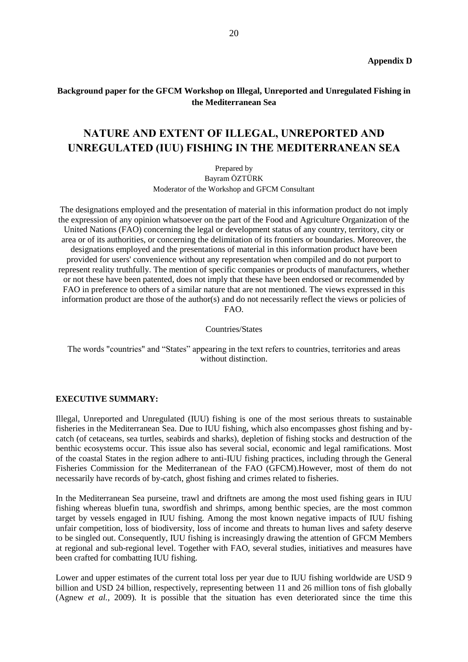# **Background paper for the GFCM Workshop on Illegal, Unreported and Unregulated Fishing in the Mediterranean Sea**

# **NATURE AND EXTENT OF ILLEGAL, UNREPORTED AND UNREGULATED (IUU) FISHING IN THE MEDITERRANEAN SEA**

Prepared by Bayram ÖZTÜRK Moderator of the Workshop and GFCM Consultant

The designations employed and the presentation of material in this information product do not imply the expression of any opinion whatsoever on the part of the Food and Agriculture Organization of the United Nations (FAO) concerning the legal or development status of any country, territory, city or area or of its authorities, or concerning the delimitation of its frontiers or boundaries. Moreover, the designations employed and the presentations of material in this information product have been provided for users' convenience without any representation when compiled and do not purport to represent reality truthfully. The mention of specific companies or products of manufacturers, whether or not these have been patented, does not imply that these have been endorsed or recommended by FAO in preference to others of a similar nature that are not mentioned. The views expressed in this information product are those of the author(s) and do not necessarily reflect the views or policies of FAO.

Countries/States

The words "countries" and "States" appearing in the text refers to countries, territories and areas without distinction.

#### **EXECUTIVE SUMMARY:**

Illegal, Unreported and Unregulated (IUU) fishing is one of the most serious threats to sustainable fisheries in the Mediterranean Sea. Due to IUU fishing, which also encompasses ghost fishing and bycatch (of cetaceans, sea turtles, seabirds and sharks), depletion of fishing stocks and destruction of the benthic ecosystems occur. This issue also has several social, economic and legal ramifications. Most of the coastal States in the region adhere to anti-IUU fishing practices, including through the General Fisheries Commission for the Mediterranean of the FAO (GFCM).However, most of them do not necessarily have records of by-catch, ghost fishing and crimes related to fisheries.

In the Mediterranean Sea purseine, trawl and driftnets are among the most used fishing gears in IUU fishing whereas bluefin tuna, swordfish and shrimps, among benthic species, are the most common target by vessels engaged in IUU fishing. Among the most known negative impacts of IUU fishing unfair competition, loss of biodiversity, loss of income and threats to human lives and safety deserve to be singled out. Consequently, IUU fishing is increasingly drawing the attention of GFCM Members at regional and sub-regional level. Together with FAO, several studies, initiatives and measures have been crafted for combatting IUU fishing.

Lower and upper estimates of the current total loss per year due to IUU fishing worldwide are USD 9 billion and USD 24 billion, respectively, representing between 11 and 26 million tons of fish globally (Agnew *et al.*, 2009). It is possible that the situation has even deteriorated since the time this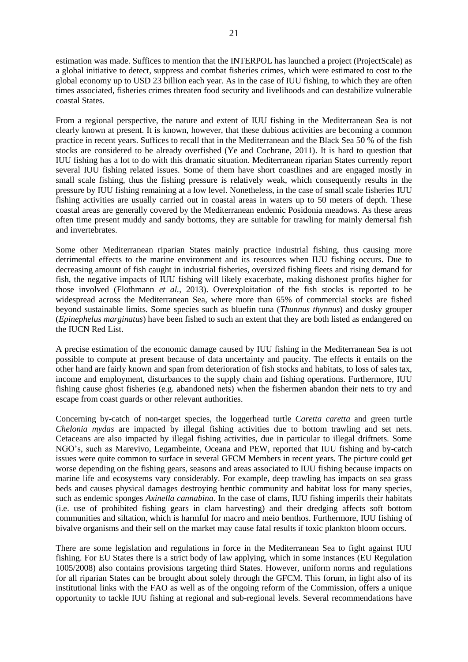estimation was made. Suffices to mention that the INTERPOL has launched a project (ProjectScale) as a global initiative to detect, suppress and combat fisheries crimes, which were estimated to cost to the global economy up to USD 23 billion each year. As in the case of IUU fishing, to which they are often times associated, fisheries crimes threaten food security and livelihoods and can destabilize vulnerable coastal States.

From a regional perspective, the nature and extent of IUU fishing in the Mediterranean Sea is not clearly known at present. It is known, however, that these dubious activities are becoming a common practice in recent years. Suffices to recall that in the Mediterranean and the Black Sea 50 % of the fish stocks are considered to be already overfished (Ye and Cochrane, 2011). It is hard to question that IUU fishing has a lot to do with this dramatic situation. Mediterranean riparian States currently report several IUU fishing related issues. Some of them have short coastlines and are engaged mostly in small scale fishing, thus the fishing pressure is relatively weak, which consequently results in the pressure by IUU fishing remaining at a low level. Nonetheless, in the case of small scale fisheries IUU fishing activities are usually carried out in coastal areas in waters up to 50 meters of depth. These coastal areas are generally covered by the Mediterranean endemic Posidonia meadows. As these areas often time present muddy and sandy bottoms, they are suitable for trawling for mainly demersal fish and invertebrates.

Some other Mediterranean riparian States mainly practice industrial fishing, thus causing more detrimental effects to the marine environment and its resources when IUU fishing occurs. Due to decreasing amount of fish caught in industrial fisheries, oversized fishing fleets and rising demand for fish, the negative impacts of IUU fishing will likely exacerbate, making dishonest profits higher for those involved (Flothmann *et al.*, 2013). Overexploitation of the fish stocks is reported to be widespread across the Mediterranean Sea, where more than 65% of commercial stocks are fished beyond sustainable limits. Some species such as bluefin tuna (*Thunnus thynnus*) and dusky grouper (*Epinephelus marginatus*) have been fished to such an extent that they are both listed as endangered on the IUCN Red List.

A precise estimation of the economic damage caused by IUU fishing in the Mediterranean Sea is not possible to compute at present because of data uncertainty and paucity. The effects it entails on the other hand are fairly known and span from deterioration of fish stocks and habitats, to loss of sales tax, income and employment, disturbances to the supply chain and fishing operations. Furthermore, IUU fishing cause ghost fisheries (e.g. abandoned nets) when the fishermen abandon their nets to try and escape from coast guards or other relevant authorities.

Concerning by-catch of non-target species, the loggerhead turtle *Caretta caretta* and green turtle *Chelonia mydas* are impacted by illegal fishing activities due to bottom trawling and set nets. Cetaceans are also impacted by illegal fishing activities, due in particular to illegal driftnets. Some NGO's, such as Marevivo, Legambeinte, Oceana and PEW, reported that IUU fishing and by-catch issues were quite common to surface in several GFCM Members in recent years. The picture could get worse depending on the fishing gears, seasons and areas associated to IUU fishing because impacts on marine life and ecosystems vary considerably. For example, deep trawling has impacts on sea grass beds and causes physical damages destroying benthic community and habitat loss for many species, such as endemic sponges *Axinella cannabina*. In the case of clams, IUU fishing imperils their habitats (i.e. use of prohibited fishing gears in clam harvesting) and their dredging affects soft bottom communities and siltation, which is harmful for macro and meio benthos. Furthermore, IUU fishing of bivalve organisms and their sell on the market may cause fatal results if toxic plankton bloom occurs.

There are some legislation and regulations in force in the Mediterranean Sea to fight against IUU fishing. For EU States there is a strict body of law applying, which in some instances (EU Regulation 1005/2008) also contains provisions targeting third States. However, uniform norms and regulations for all riparian States can be brought about solely through the GFCM. This forum, in light also of its institutional links with the FAO as well as of the ongoing reform of the Commission, offers a unique opportunity to tackle IUU fishing at regional and sub-regional levels. Several recommendations have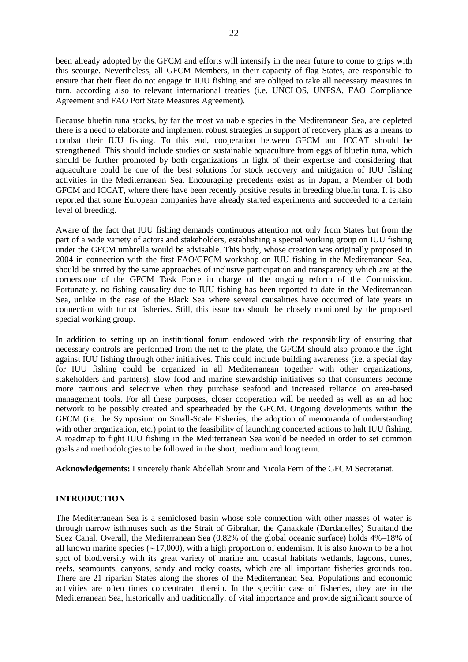been already adopted by the GFCM and efforts will intensify in the near future to come to grips with this scourge. Nevertheless, all GFCM Members, in their capacity of flag States, are responsible to ensure that their fleet do not engage in IUU fishing and are obliged to take all necessary measures in turn, according also to relevant international treaties (i.e. UNCLOS, UNFSA, FAO Compliance Agreement and FAO Port State Measures Agreement).

Because bluefin tuna stocks, by far the most valuable species in the Mediterranean Sea, are depleted there is a need to elaborate and implement robust strategies in support of recovery plans as a means to combat their IUU fishing. To this end, cooperation between GFCM and ICCAT should be strengthened. This should include studies on sustainable aquaculture from eggs of bluefin tuna, which should be further promoted by both organizations in light of their expertise and considering that aquaculture could be one of the best solutions for stock recovery and mitigation of IUU fishing activities in the Mediterranean Sea. Encouraging precedents exist as in Japan, a Member of both GFCM and ICCAT, where there have been recently positive results in breeding bluefin tuna. It is also reported that some European companies have already started experiments and succeeded to a certain level of breeding.

Aware of the fact that IUU fishing demands continuous attention not only from States but from the part of a wide variety of actors and stakeholders, establishing a special working group on IUU fishing under the GFCM umbrella would be advisable. This body, whose creation was originally proposed in 2004 in connection with the first FAO/GFCM workshop on IUU fishing in the Mediterranean Sea, should be stirred by the same approaches of inclusive participation and transparency which are at the cornerstone of the GFCM Task Force in charge of the ongoing reform of the Commission. Fortunately, no fishing causality due to IUU fishing has been reported to date in the Mediterranean Sea, unlike in the case of the Black Sea where several causalities have occurred of late years in connection with turbot fisheries. Still, this issue too should be closely monitored by the proposed special working group.

In addition to setting up an institutional forum endowed with the responsibility of ensuring that necessary controls are performed from the net to the plate, the GFCM should also promote the fight against IUU fishing through other initiatives. This could include building awareness (i.e. a special day for IUU fishing could be organized in all Mediterranean together with other organizations, stakeholders and partners), slow food and marine stewardship initiatives so that consumers become more cautious and selective when they purchase seafood and increased reliance on area-based management tools. For all these purposes, closer cooperation will be needed as well as an ad hoc network to be possibly created and spearheaded by the GFCM. Ongoing developments within the GFCM (i.e. the Symposium on Small-Scale Fisheries, the adoption of memoranda of understanding with other organization, etc.) point to the feasibility of launching concerted actions to halt IUU fishing. A roadmap to fight IUU fishing in the Mediterranean Sea would be needed in order to set common goals and methodologies to be followed in the short, medium and long term.

**Acknowledgements:** I sincerely thank Abdellah Srour and Nicola Ferri of the GFCM Secretariat.

### **INTRODUCTION**

The Mediterranean Sea is a semiclosed basin whose sole connection with other masses of water is through narrow isthmuses such as the Strait of Gibraltar, the Çanakkale (Dardanelles) Straitand the Suez Canal. Overall, the Mediterranean Sea (0.82% of the global oceanic surface) holds 4%–18% of all known marine species (∼17,000), with a high proportion of endemism. It is also known to be a hot spot of biodiversity with its great variety of marine and coastal habitats wetlands, lagoons, dunes, reefs, seamounts, canyons, sandy and rocky coasts, which are all important fisheries grounds too. There are 21 riparian States along the shores of the Mediterranean Sea. Populations and economic activities are often times concentrated therein. In the specific case of fisheries, they are in the Mediterranean Sea, historically and traditionally, of vital importance and provide significant source of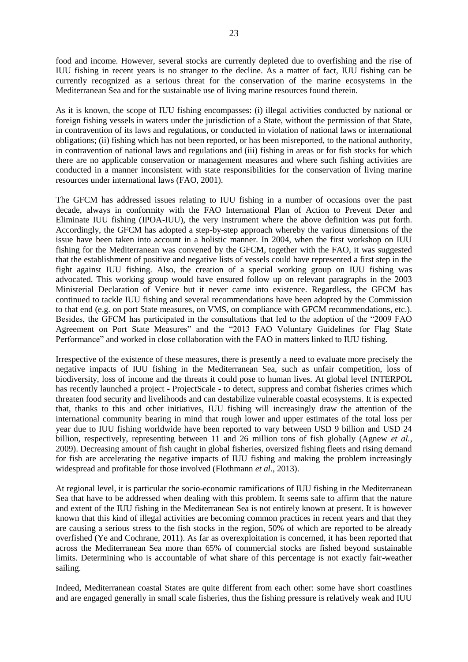23

food and income. However, several stocks are currently depleted due to overfishing and the rise of IUU fishing in recent years is no stranger to the decline. As a matter of fact, IUU fishing can be currently recognized as a serious threat for the conservation of the marine ecosystems in the Mediterranean Sea and for the sustainable use of living marine resources found therein.

As it is known, the scope of IUU fishing encompasses: (i) illegal activities conducted by national or foreign fishing vessels in waters under the jurisdiction of a State, without the permission of that State, in contravention of its laws and regulations, or conducted in violation of national laws or international obligations; (ii) fishing which has not been reported, or has been misreported, to the national authority, in contravention of national laws and regulations and (iii) fishing in areas or for fish stocks for which there are no applicable conservation or management measures and where such fishing activities are conducted in a manner inconsistent with state responsibilities for the conservation of living marine resources under international laws (FAO, 2001).

The GFCM has addressed issues relating to IUU fishing in a number of occasions over the past decade, always in conformity with the FAO International Plan of Action to Prevent Deter and Eliminate IUU fishing (IPOA-IUU), the very instrument where the above definition was put forth. Accordingly, the GFCM has adopted a step-by-step approach whereby the various dimensions of the issue have been taken into account in a holistic manner. In 2004, when the first workshop on IUU fishing for the Mediterranean was convened by the GFCM, together with the FAO, it was suggested that the establishment of positive and negative lists of vessels could have represented a first step in the fight against IUU fishing. Also, the creation of a special working group on IUU fishing was advocated. This working group would have ensured follow up on relevant paragraphs in the 2003 Ministerial Declaration of Venice but it never came into existence. Regardless, the GFCM has continued to tackle IUU fishing and several recommendations have been adopted by the Commission to that end (e.g. on port State measures, on VMS, on compliance with GFCM recommendations, etc.). Besides, the GFCM has participated in the consultations that led to the adoption of the "2009 FAO Agreement on Port State Measures" and the "2013 FAO Voluntary Guidelines for Flag State Performance" and worked in close collaboration with the FAO in matters linked to IUU fishing.

Irrespective of the existence of these measures, there is presently a need to evaluate more precisely the negative impacts of IUU fishing in the Mediterranean Sea, such as unfair competition, loss of biodiversity, loss of income and the threats it could pose to human lives. At global level INTERPOL has recently launched a project - ProjectScale - to detect, suppress and combat fisheries crimes which threaten food security and livelihoods and can destabilize vulnerable coastal ecosystems. It is expected that, thanks to this and other initiatives, IUU fishing will increasingly draw the attention of the international community bearing in mind that rough lower and upper estimates of the total loss per year due to IUU fishing worldwide have been reported to vary between USD 9 billion and USD 24 billion, respectively, representing between 11 and 26 million tons of fish globally (Agnew *et al.*, 2009). Decreasing amount of fish caught in global fisheries, oversized fishing fleets and rising demand for fish are accelerating the negative impacts of IUU fishing and making the problem increasingly widespread and profitable for those involved (Flothmann *et al*., 2013).

At regional level, it is particular the socio-economic ramifications of IUU fishing in the Mediterranean Sea that have to be addressed when dealing with this problem. It seems safe to affirm that the nature and extent of the IUU fishing in the Mediterranean Sea is not entirely known at present. It is however known that this kind of illegal activities are becoming common practices in recent years and that they are causing a serious stress to the fish stocks in the region, 50% of which are reported to be already overfished (Ye and Cochrane, 2011). As far as overexploitation is concerned, it has been reported that across the Mediterranean Sea more than 65% of commercial stocks are fished beyond sustainable limits. Determining who is accountable of what share of this percentage is not exactly fair-weather sailing.

Indeed, Mediterranean coastal States are quite different from each other: some have short coastlines and are engaged generally in small scale fisheries, thus the fishing pressure is relatively weak and IUU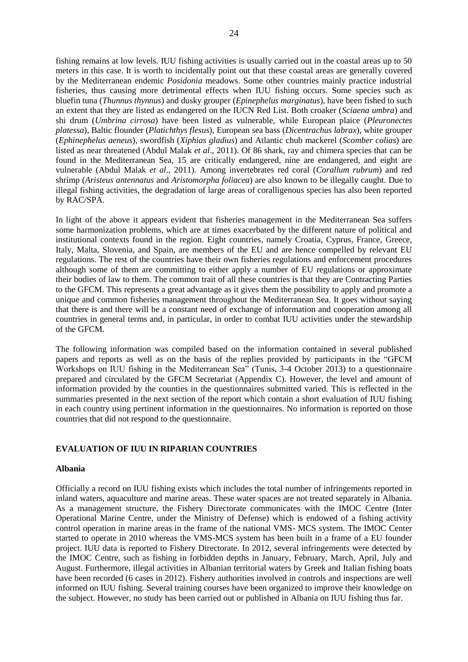fishing remains at low levels. IUU fishing activities is usually carried out in the coastal areas up to 50 meters in this case. It is worth to incidentally point out that these coastal areas are generally covered by the Mediterranean endemic *Posidonia* meadows. Some other countries mainly practice industrial fisheries, thus causing more detrimental effects when IUU fishing occurs. Some species such as bluefin tuna (*Thunnus thynnus*) and dusky grouper (*Epinephelus marginatus*), have been fished to such an extent that they are listed as endangered on the IUCN Red List. Both croaker (*Sciaena umbra*) and shi drum (*Umbrina cirrosa*) have been listed as vulnerable, while European plaice (*Pleuronectes platessa*), Baltic flounder (*Platichthys flesus*), European sea bass (*Dicentrachus labrax*), white grouper (*Ephinephelus aeneus*), swordfish (*Xiphias gladius*) and Atlantic chub mackerel (*Scomber colias*) are listed as near threatened (Abdul Malak *et al*., 2011). Of 86 shark, ray and chimera species that can be found in the Mediterranean Sea, 15 are critically endangered, nine are endangered, and eight are vulnerable (Abdul Malak *et al*., 2011). Among invertebrates red coral (*Corallum rubrum*) and red shrimp (*Aristeus antennatus* and *Aristomorpha foliacea*) are also known to be illegally caught. Due to illegal fishing activities, the degradation of large areas of coralligenous species has also been reported by RAC/SPA.

In light of the above it appears evident that fisheries management in the Mediterranean Sea suffers some harmonization problems, which are at times exacerbated by the different nature of political and institutional contexts found in the region. Eight countries, namely Croatia, Cyprus, France, Greece, Italy, Malta, Slovenia, and Spain, are members of the EU and are hence compelled by relevant EU regulations. The rest of the countries have their own fisheries regulations and enforcement procedures although some of them are committing to either apply a number of EU regulations or approximate their bodies of law to them. The common trait of all these countries is that they are Contracting Parties to the GFCM. This represents a great advantage as it gives them the possibility to apply and promote a unique and common fisheries management throughout the Mediterranean Sea. It goes without saying that there is and there will be a constant need of exchange of information and cooperation among all countries in general terms and, in particular, in order to combat IUU activities under the stewardship of the GFCM.

The following information was compiled based on the information contained in several published papers and reports as well as on the basis of the replies provided by participants in the "GFCM Workshops on IUU fishing in the Mediterranean Sea" (Tunis, 3-4 October 2013) to a questionnaire prepared and circulated by the GFCM Secretariat (Appendix C). However, the level and amount of information provided by the counties in the questionnaires submitted varied. This is reflected in the summaries presented in the next section of the report which contain a short evaluation of IUU fishing in each country using pertinent information in the questionnaires. No information is reported on those countries that did not respond to the questionnaire.

### **EVALUATION OF IUU IN RIPARIAN COUNTRIES**

### **Albania**

Officially a record on IUU fishing exists which includes the total number of infringements reported in inland waters, aquaculture and marine areas. These water spaces are not treated separately in Albania. As a management structure, the Fishery Directorate communicates with the IMOC Centre (Inter Operational Marine Centre, under the Ministry of Defense) which is endowed of a fishing activity control operation in marine areas in the frame of the national VMS- MCS system. The IMOC Center started to operate in 2010 whereas the VMS-MCS system has been built in a frame of a EU founder project. IUU data is reported to Fishery Directorate. In 2012, several infringements were detected by the IMOC Centre, such as fishing in forbidden depths in January, February, March, April, July and August. Furthermore, illegal activities in Albanian territorial waters by Greek and Italian fishing boats have been recorded (6 cases in 2012). Fishery authorities involved in controls and inspections are well informed on IUU fishing. Several training courses have been organized to improve their knowledge on the subject. However, no study has been carried out or published in Albania on IUU fishing thus far.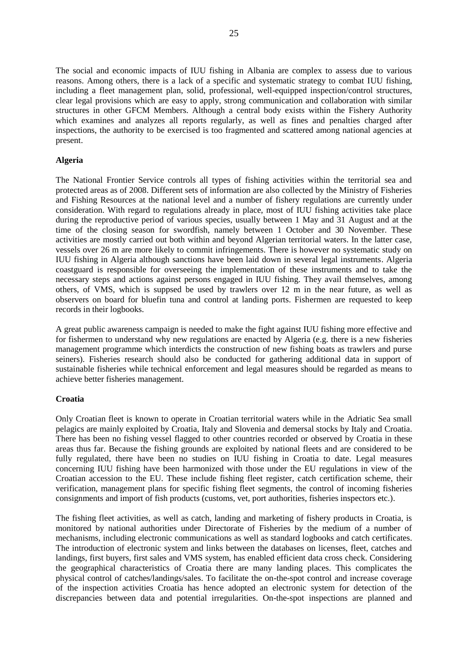The social and economic impacts of IUU fishing in Albania are complex to assess due to various reasons. Among others, there is a lack of a specific and systematic strategy to combat IUU fishing, including a fleet management plan, solid, professional, well-equipped inspection/control structures, clear legal provisions which are easy to apply, strong communication and collaboration with similar structures in other GFCM Members. Although a central body exists within the Fishery Authority which examines and analyzes all reports regularly, as well as fines and penalties charged after inspections, the authority to be exercised is too fragmented and scattered among national agencies at present.

### **Algeria**

The National Frontier Service controls all types of fishing activities within the territorial sea and protected areas as of 2008. Different sets of information are also collected by the Ministry of Fisheries and Fishing Resources at the national level and a number of fishery regulations are currently under consideration. With regard to regulations already in place, most of IUU fishing activities take place during the reproductive period of various species, usually between 1 May and 31 August and at the time of the closing season for swordfish, namely between 1 October and 30 November. These activities are mostly carried out both within and beyond Algerian territorial waters. In the latter case, vessels over 26 m are more likely to commit infringements. There is however no systematic study on IUU fishing in Algeria although sanctions have been laid down in several legal instruments. Algeria coastguard is responsible for overseeing the implementation of these instruments and to take the necessary steps and actions against persons engaged in IUU fishing. They avail themselves, among others, of VMS, which is suppsed be used by trawlers over 12 m in the near future, as well as observers on board for bluefin tuna and control at landing ports. Fishermen are requested to keep records in their logbooks.

A great public awareness campaign is needed to make the fight against IUU fishing more effective and for fishermen to understand why new regulations are enacted by Algeria (e.g. there is a new fisheries management programme which interdicts the construction of new fishing boats as trawlers and purse seiners). Fisheries research should also be conducted for gathering additional data in support of sustainable fisheries while technical enforcement and legal measures should be regarded as means to achieve better fisheries management.

### **Croatia**

Only Croatian fleet is known to operate in Croatian territorial waters while in the Adriatic Sea small pelagics are mainly exploited by Croatia, Italy and Slovenia and demersal stocks by Italy and Croatia. There has been no fishing vessel flagged to other countries recorded or observed by Croatia in these areas thus far. Because the fishing grounds are exploited by national fleets and are considered to be fully regulated, there have been no studies on IUU fishing in Croatia to date. Legal measures concerning IUU fishing have been harmonized with those under the EU regulations in view of the Croatian accession to the EU. These include fishing fleet register, catch certification scheme, their verification, management plans for specific fishing fleet segments, the control of incoming fisheries consignments and import of fish products (customs, vet, port authorities, fisheries inspectors etc.).

The fishing fleet activities, as well as catch, landing and marketing of fishery products in Croatia, is monitored by national authorities under Directorate of Fisheries by the medium of a number of mechanisms, including electronic communications as well as standard logbooks and catch certificates. The introduction of electronic system and links between the databases on licenses, fleet, catches and landings, first buyers, first sales and VMS system, has enabled efficient data cross check. Considering the geographical characteristics of Croatia there are many landing places. This complicates the physical control of catches/landings/sales. To facilitate the on-the-spot control and increase coverage of the inspection activities Croatia has hence adopted an electronic system for detection of the discrepancies between data and potential irregularities. On-the-spot inspections are planned and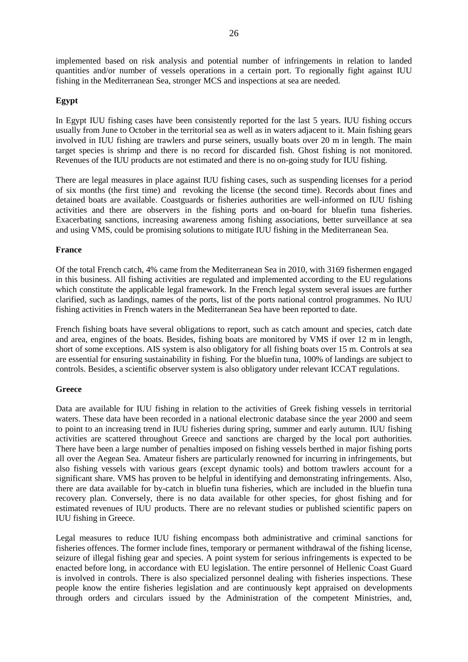implemented based on risk analysis and potential number of infringements in relation to landed quantities and/or number of vessels operations in a certain port. To regionally fight against IUU fishing in the Mediterranean Sea, stronger MCS and inspections at sea are needed.

### **Egypt**

In Egypt IUU fishing cases have been consistently reported for the last 5 years. IUU fishing occurs usually from June to October in the territorial sea as well as in waters adjacent to it. Main fishing gears involved in IUU fishing are trawlers and purse seiners, usually boats over 20 m in length. The main target species is shrimp and there is no record for discarded fish. Ghost fishing is not monitored. Revenues of the IUU products are not estimated and there is no on-going study for IUU fishing.

There are legal measures in place against IUU fishing cases, such as suspending licenses for a period of six months (the first time) and revoking the license (the second time). Records about fines and detained boats are available. Coastguards or fisheries authorities are well-informed on IUU fishing activities and there are observers in the fishing ports and on-board for bluefin tuna fisheries. Exacerbating sanctions, increasing awareness among fishing associations, better surveillance at sea and using VMS, could be promising solutions to mitigate IUU fishing in the Mediterranean Sea.

### **France**

Of the total French catch, 4% came from the Mediterranean Sea in 2010, with 3169 fishermen engaged in this business. All fishing activities are regulated and implemented according to the EU regulations which constitute the applicable legal framework. In the French legal system several issues are further clarified, such as landings, names of the ports, list of the ports national control programmes. No IUU fishing activities in French waters in the Mediterranean Sea have been reported to date.

French fishing boats have several obligations to report, such as catch amount and species, catch date and area, engines of the boats. Besides, fishing boats are monitored by VMS if over 12 m in length, short of some exceptions. AIS system is also obligatory for all fishing boats over 15 m. Controls at sea are essential for ensuring sustainability in fishing. For the bluefin tuna, 100% of landings are subject to controls. Besides, a scientific observer system is also obligatory under relevant ICCAT regulations.

### **Greece**

Data are available for IUU fishing in relation to the activities of Greek fishing vessels in territorial waters. These data have been recorded in a national electronic database since the year 2000 and seem to point to an increasing trend in IUU fisheries during spring, summer and early autumn. IUU fishing activities are scattered throughout Greece and sanctions are charged by the local port authorities. There have been a large number of penalties imposed on fishing vessels berthed in major fishing ports all over the Aegean Sea. Amateur fishers are particularly renowned for incurring in infringements, but also fishing vessels with various gears (except dynamic tools) and bottom trawlers account for a significant share. VMS has proven to be helpful in identifying and demonstrating infringements. Also, there are data available for by-catch in bluefin tuna fisheries, which are included in the bluefin tuna recovery plan. Conversely, there is no data available for other species, for ghost fishing and for estimated revenues of IUU products. There are no relevant studies or published scientific papers on IUU fishing in Greece.

Legal measures to reduce IUU fishing encompass both administrative and criminal sanctions for fisheries offences. The former include fines, temporary or permanent withdrawal of the fishing license, seizure of illegal fishing gear and species. A point system for serious infringements is expected to be enacted before long, in accordance with EU legislation. The entire personnel of Hellenic Coast Guard is involved in controls. There is also specialized personnel dealing with fisheries inspections. These people know the entire fisheries legislation and are continuously kept appraised on developments through orders and circulars issued by the Administration of the competent Ministries, and,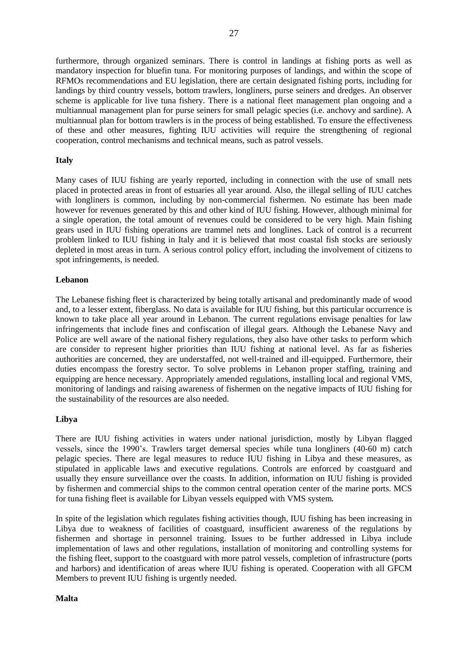furthermore, through organized seminars. There is control in landings at fishing ports as well as mandatory inspection for bluefin tuna. For monitoring purposes of landings, and within the scope of RFMOs recommendations and EU legislation, there are certain designated fishing ports, including for landings by third country vessels, bottom trawlers, longliners, purse seiners and dredges. An observer scheme is applicable for live tuna fishery. There is a national fleet management plan ongoing and a multiannual management plan for purse seiners for small pelagic species (i.e. anchovy and sardine). A multiannual plan for bottom trawlers is in the process of being established. To ensure the effectiveness of these and other measures, fighting IUU activities will require the strengthening of regional cooperation, control mechanisms and technical means, such as patrol vessels.

### **Italy**

Many cases of IUU fishing are yearly reported, including in connection with the use of small nets placed in protected areas in front of estuaries all year around. Also, the illegal selling of IUU catches with longliners is common, including by non-commercial fishermen. No estimate has been made however for revenues generated by this and other kind of IUU fishing. However, although minimal for a single operation, the total amount of revenues could be considered to be very high. Main fishing gears used in IUU fishing operations are trammel nets and longlines. Lack of control is a recurrent problem linked to IUU fishing in Italy and it is believed that most coastal fish stocks are seriously depleted in most areas in turn. A serious control policy effort, including the involvement of citizens to spot infringements, is needed.

#### **Lebanon**

The Lebanese fishing fleet is characterized by being totally artisanal and predominantly made of wood and, to a lesser extent, fiberglass. No data is available for IUU fishing, but this particular occurrence is known to take place all year around in Lebanon. The current regulations envisage penalties for law infringements that include fines and confiscation of illegal gears. Although the Lebanese Navy and Police are well aware of the national fishery regulations, they also have other tasks to perform which are consider to represent higher priorities than IUU fishing at national level. As far as fisheries authorities are concerned, they are understaffed, not well-trained and ill-equipped. Furthermore, their duties encompass the forestry sector. To solve problems in Lebanon proper staffing, training and equipping are hence necessary. Appropriately amended regulations, installing local and regional VMS, monitoring of landings and raising awareness of fishermen on the negative impacts of IUU fishing for the sustainability of the resources are also needed.

### **Libya**

There are IUU fishing activities in waters under national jurisdiction, mostly by Libyan flagged vessels, since the 1990's. Trawlers target demersal species while tuna longliners (40-60 m) catch pelagic species. There are legal measures to reduce IUU fishing in Libya and these measures, as stipulated in applicable laws and executive regulations. Controls are enforced by coastguard and usually they ensure surveillance over the coasts. In addition, information on IUU fishing is provided by fishermen and commercial ships to the common central operation center of the marine ports. MCS for tuna fishing fleet is available for Libyan vessels equipped with VMS system.

In spite of the legislation which regulates fishing activities though, IUU fishing has been increasing in Libya due to weakness of facilities of coastguard, insufficient awareness of the regulations by fishermen and shortage in personnel training. Issues to be further addressed in Libya include implementation of laws and other regulations, installation of monitoring and controlling systems for the fishing fleet, support to the coastguard with more patrol vessels, completion of infrastructure (ports and harbors) and identification of areas where IUU fishing is operated. Cooperation with all GFCM Members to prevent IUU fishing is urgently needed.

### **Malta**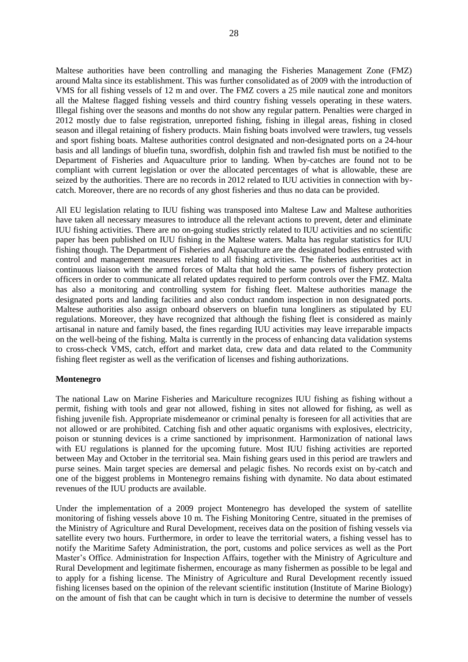Maltese authorities have been controlling and managing the Fisheries Management Zone (FMZ) around Malta since its establishment. This was further consolidated as of 2009 with the introduction of VMS for all fishing vessels of 12 m and over. The FMZ covers a 25 mile nautical zone and monitors all the Maltese flagged fishing vessels and third country fishing vessels operating in these waters. Illegal fishing over the seasons and months do not show any regular pattern. Penalties were charged in 2012 mostly due to false registration, unreported fishing, fishing in illegal areas, fishing in closed season and illegal retaining of fishery products. Main fishing boats involved were trawlers, tug vessels and sport fishing boats. Maltese authorities control designated and non-designated ports on a 24-hour basis and all landings of bluefin tuna, swordfish, dolphin fish and trawled fish must be notified to the Department of Fisheries and Aquaculture prior to landing. When by-catches are found not to be compliant with current legislation or over the allocated percentages of what is allowable, these are seized by the authorities. There are no records in 2012 related to IUU activities in connection with bycatch. Moreover, there are no records of any ghost fisheries and thus no data can be provided.

All EU legislation relating to IUU fishing was transposed into Maltese Law and Maltese authorities have taken all necessary measures to introduce all the relevant actions to prevent, deter and eliminate IUU fishing activities. There are no on-going studies strictly related to IUU activities and no scientific paper has been published on IUU fishing in the Maltese waters. Malta has regular statistics for IUU fishing though. The Department of Fisheries and Aquaculture are the designated bodies entrusted with control and management measures related to all fishing activities. The fisheries authorities act in continuous liaison with the armed forces of Malta that hold the same powers of fishery protection officers in order to communicate all related updates required to perform controls over the FMZ. Malta has also a monitoring and controlling system for fishing fleet. Maltese authorities manage the designated ports and landing facilities and also conduct random inspection in non designated ports. Maltese authorities also assign onboard observers on bluefin tuna longliners as stipulated by EU regulations. Moreover, they have recognized that although the fishing fleet is considered as mainly artisanal in nature and family based, the fines regarding IUU activities may leave irreparable impacts on the well-being of the fishing. Malta is currently in the process of enhancing data validation systems to cross-check VMS, catch, effort and market data, crew data and data related to the Community fishing fleet register as well as the verification of licenses and fishing authorizations.

#### **Montenegro**

The national Law on Marine Fisheries and Mariculture recognizes IUU fishing as fishing without a permit, fishing with tools and gear not allowed, fishing in sites not allowed for fishing, as well as fishing juvenile fish. Appropriate misdemeanor or criminal penalty is foreseen for all activities that are not allowed or are prohibited. Catching fish and other aquatic organisms with explosives, electricity, poison or stunning devices is a crime sanctioned by imprisonment. Harmonization of national laws with EU regulations is planned for the upcoming future. Most IUU fishing activities are reported between May and October in the territorial sea. Main fishing gears used in this period are trawlers and purse seines. Main target species are demersal and pelagic fishes. No records exist on by-catch and one of the biggest problems in Montenegro remains fishing with dynamite. No data about estimated revenues of the IUU products are available.

Under the implementation of a 2009 project Montenegro has developed the system of satellite monitoring of fishing vessels above 10 m. The Fishing Monitoring Centre, situated in the premises of the Ministry of Agriculture and Rural Development, receives data on the position of fishing vessels via satellite every two hours. Furthermore, in order to leave the territorial waters, a fishing vessel has to notify the Maritime Safety Administration, the port, customs and police services as well as the Port Master's Office. Administration for Inspection Affairs, together with the Ministry of Agriculture and Rural Development and legitimate fishermen, encourage as many fishermen as possible to be legal and to apply for a fishing license. The Ministry of Agriculture and Rural Development recently issued fishing licenses based on the opinion of the relevant scientific institution (Institute of Marine Biology) on the amount of fish that can be caught which in turn is decisive to determine the number of vessels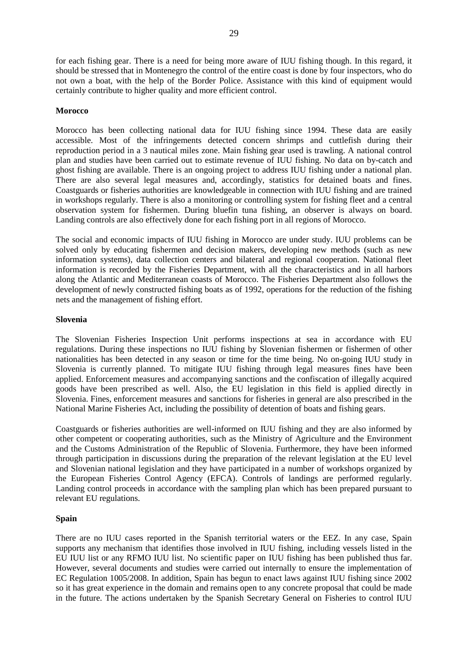for each fishing gear. There is a need for being more aware of IUU fishing though. In this regard, it should be stressed that in Montenegro the control of the entire coast is done by four inspectors, who do not own a boat, with the help of the Border Police. Assistance with this kind of equipment would certainly contribute to higher quality and more efficient control.

### **Morocco**

Morocco has been collecting national data for IUU fishing since 1994. These data are easily accessible. Most of the infringements detected concern shrimps and cuttlefish during their reproduction period in a 3 nautical miles zone. Main fishing gear used is trawling. A national control plan and studies have been carried out to estimate revenue of IUU fishing. No data on by-catch and ghost fishing are available. There is an ongoing project to address IUU fishing under a national plan. There are also several legal measures and, accordingly, statistics for detained boats and fines. Coastguards or fisheries authorities are knowledgeable in connection with IUU fishing and are trained in workshops regularly. There is also a monitoring or controlling system for fishing fleet and a central observation system for fishermen. During bluefin tuna fishing, an observer is always on board. Landing controls are also effectively done for each fishing port in all regions of Morocco.

The social and economic impacts of IUU fishing in Morocco are under study. IUU problems can be solved only by educating fishermen and decision makers, developing new methods (such as new information systems), data collection centers and bilateral and regional cooperation. National fleet information is recorded by the Fisheries Department, with all the characteristics and in all harbors along the Atlantic and Mediterranean coasts of Morocco. The Fisheries Department also follows the development of newly constructed fishing boats as of 1992, operations for the reduction of the fishing nets and the management of fishing effort.

### **Slovenia**

The Slovenian Fisheries Inspection Unit performs inspections at sea in accordance with EU regulations. During these inspections no IUU fishing by Slovenian fishermen or fishermen of other nationalities has been detected in any season or time for the time being. No on-going IUU study in Slovenia is currently planned. To mitigate IUU fishing through legal measures fines have been applied. Enforcement measures and accompanying sanctions and the confiscation of illegally acquired goods have been prescribed as well. Also, the EU legislation in this field is applied directly in Slovenia. Fines, enforcement measures and sanctions for fisheries in general are also prescribed in the National Marine Fisheries Act, including the possibility of detention of boats and fishing gears.

Coastguards or fisheries authorities are well-informed on IUU fishing and they are also informed by other competent or cooperating authorities, such as the Ministry of Agriculture and the Environment and the Customs Administration of the Republic of Slovenia. Furthermore, they have been informed through participation in discussions during the preparation of the relevant legislation at the EU level and Slovenian national legislation and they have participated in a number of workshops organized by the European Fisheries Control Agency (EFCA). Controls of landings are performed regularly. Landing control proceeds in accordance with the sampling plan which has been prepared pursuant to relevant EU regulations.

### **Spain**

There are no IUU cases reported in the Spanish territorial waters or the EEZ. In any case, Spain supports any mechanism that identifies those involved in IUU fishing, including vessels listed in the EU IUU list or any RFMO IUU list. No scientific paper on IUU fishing has been published thus far. However, several documents and studies were carried out internally to ensure the implementation of EC Regulation 1005/2008. In addition, Spain has begun to enact laws against IUU fishing since 2002 so it has great experience in the domain and remains open to any concrete proposal that could be made in the future. The actions undertaken by the Spanish Secretary General on Fisheries to control IUU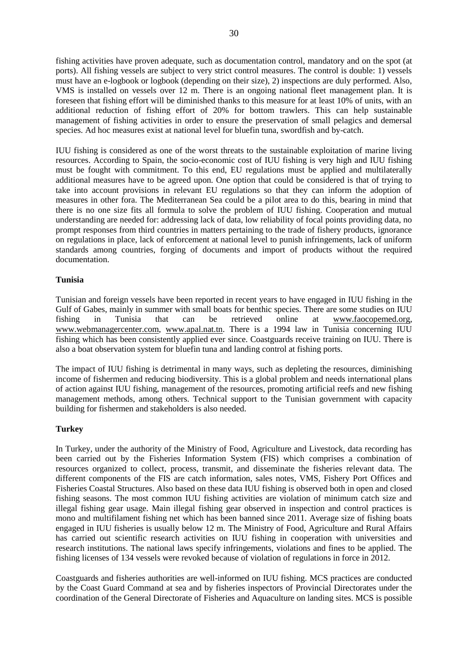fishing activities have proven adequate, such as documentation control, mandatory and on the spot (at ports). All fishing vessels are subject to very strict control measures. The control is double: 1) vessels must have an e-logbook or logbook (depending on their size), 2) inspections are duly performed. Also, VMS is installed on vessels over 12 m. There is an ongoing national fleet management plan. It is foreseen that fishing effort will be diminished thanks to this measure for at least 10% of units, with an additional reduction of fishing effort of 20% for bottom trawlers. This can help sustainable management of fishing activities in order to ensure the preservation of small pelagics and demersal species. Ad hoc measures exist at national level for bluefin tuna, swordfish and by-catch.

IUU fishing is considered as one of the worst threats to the sustainable exploitation of marine living resources. According to Spain, the socio-economic cost of IUU fishing is very high and IUU fishing must be fought with commitment. To this end, EU regulations must be applied and multilaterally additional measures have to be agreed upon. One option that could be considered is that of trying to take into account provisions in relevant EU regulations so that they can inform the adoption of measures in other fora. The Mediterranean Sea could be a pilot area to do this, bearing in mind that there is no one size fits all formula to solve the problem of IUU fishing. Cooperation and mutual understanding are needed for: addressing lack of data, low reliability of focal points providing data, no prompt responses from third countries in matters pertaining to the trade of fishery products, ignorance on regulations in place, lack of enforcement at national level to punish infringements, lack of uniform standards among countries, forging of documents and import of products without the required documentation.

### **Tunisia**

Tunisian and foreign vessels have been reported in recent years to have engaged in IUU fishing in the Gulf of Gabes, mainly in summer with small boats for benthic species. There are some studies on IUU fishing in Tunisia that can be retrieved online at www.faocopemed.org, [www.webmanagercenter.com,](http://www.webmanagercenter.com/) [www.apal.nat.tn.](http://www.apal.nat.tn/) There is a 1994 law in Tunisia concerning IUU fishing which has been consistently applied ever since. Coastguards receive training on IUU. There is also a boat observation system for bluefin tuna and landing control at fishing ports.

The impact of IUU fishing is detrimental in many ways, such as depleting the resources, diminishing income of fishermen and reducing biodiversity. This is a global problem and needs international plans of action against IUU fishing, management of the resources, promoting artificial reefs and new fishing management methods, among others. Technical support to the Tunisian government with capacity building for fishermen and stakeholders is also needed.

### **Turkey**

In Turkey, under the authority of the Ministry of Food, Agriculture and Livestock, data recording has been carried out by the Fisheries Information System (FIS) which comprises a combination of resources organized to collect, process, transmit, and disseminate the fisheries relevant data. The different components of the FIS are catch information, sales notes, VMS, Fishery Port Offices and Fisheries Coastal Structures. Also based on these data IUU fishing is observed both in open and closed fishing seasons. The most common IUU fishing activities are violation of minimum catch size and illegal fishing gear usage. Main illegal fishing gear observed in inspection and control practices is mono and multifilament fishing net which has been banned since 2011. Average size of fishing boats engaged in IUU fisheries is usually below 12 m. The Ministry of Food, Agriculture and Rural Affairs has carried out scientific research activities on IUU fishing in cooperation with universities and research institutions. The national laws specify infringements, violations and fines to be applied. The fishing licenses of 134 vessels were revoked because of violation of regulations in force in 2012.

Coastguards and fisheries authorities are well-informed on IUU fishing. MCS practices are conducted by the Coast Guard Command at sea and by fisheries inspectors of Provincial Directorates under the coordination of the General Directorate of Fisheries and Aquaculture on landing sites. MCS is possible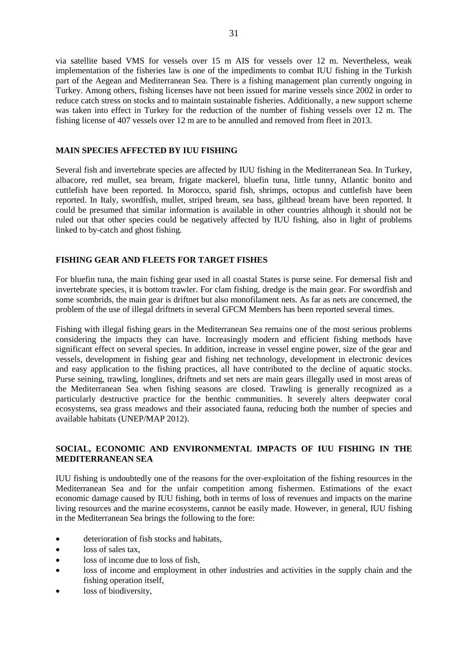via satellite based VMS for vessels over 15 m AIS for vessels over 12 m. Nevertheless, weak implementation of the fisheries law is one of the impediments to combat IUU fishing in the Turkish part of the Aegean and Mediterranean Sea. There is a fishing management plan currently ongoing in Turkey. Among others, fishing licenses have not been issued for marine vessels since 2002 in order to reduce catch stress on stocks and to maintain sustainable fisheries. Additionally, a new support scheme was taken into effect in Turkey for the reduction of the number of fishing vessels over 12 m. The fishing license of 407 vessels over 12 m are to be annulled and removed from fleet in 2013.

### **MAIN SPECIES AFFECTED BY IUU FISHING**

Several fish and invertebrate species are affected by IUU fishing in the Mediterranean Sea. In Turkey, albacore, red mullet, sea bream, frigate mackerel, bluefin tuna, little tunny, Atlantic bonito and cuttlefish have been reported. In Morocco, sparid fish, shrimps, octopus and cuttlefish have been reported. In Italy, swordfish, mullet, striped bream, sea bass, gilthead bream have been reported. It could be presumed that similar information is available in other countries although it should not be ruled out that other species could be negatively affected by IUU fishing, also in light of problems linked to by-catch and ghost fishing.

### **FISHING GEAR AND FLEETS FOR TARGET FISHES**

For bluefin tuna, the main fishing gear used in all coastal States is purse seine. For demersal fish and invertebrate species, it is bottom trawler. For clam fishing, dredge is the main gear. For swordfish and some scombrids, the main gear is driftnet but also monofilament nets. As far as nets are concerned, the problem of the use of illegal driftnets in several GFCM Members has been reported several times.

Fishing with illegal fishing gears in the Mediterranean Sea remains one of the most serious problems considering the impacts they can have. Increasingly modern and efficient fishing methods have significant effect on several species. In addition, increase in vessel engine power, size of the gear and vessels, development in fishing gear and fishing net technology, development in electronic devices and easy application to the fishing practices, all have contributed to the decline of aquatic stocks. Purse seining, trawling, longlines, driftnets and set nets are main gears illegally used in most areas of the Mediterranean Sea when fishing seasons are closed. Trawling is generally recognized as a particularly destructive practice for the benthic communities. It severely alters deepwater coral ecosystems, sea grass meadows and their associated fauna, reducing both the number of species and available habitats (UNEP/MAP 2012).

### **SOCIAL, ECONOMIC AND ENVIRONMENTAL IMPACTS OF IUU FISHING IN THE MEDITERRANEAN SEA**

IUU fishing is undoubtedly one of the reasons for the over-exploitation of the fishing resources in the Mediterranean Sea and for the unfair competition among fishermen. Estimations of the exact economic damage caused by IUU fishing, both in terms of loss of revenues and impacts on the marine living resources and the marine ecosystems, cannot be easily made. However, in general, IUU fishing in the Mediterranean Sea brings the following to the fore:

- deterioration of fish stocks and habitats,
- loss of sales tax,
- loss of income due to loss of fish,
- loss of income and employment in other industries and activities in the supply chain and the fishing operation itself,
- loss of biodiversity.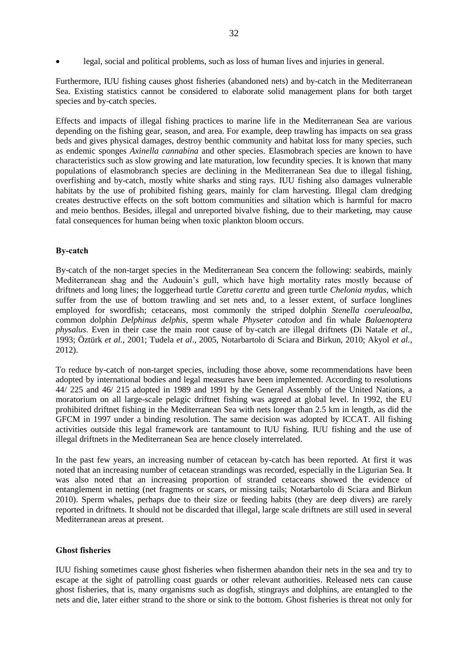Furthermore, IUU fishing causes ghost fisheries (abandoned nets) and by-catch in the Mediterranean Sea. Existing statistics cannot be considered to elaborate solid management plans for both target species and by-catch species.

Effects and impacts of illegal fishing practices to marine life in the Mediterranean Sea are various depending on the fishing gear, season, and area. For example, deep trawling has impacts on sea grass beds and gives physical damages, destroy benthic community and habitat loss for many species, such as endemic sponges *Axinella cannabina* and other species. Elasmobrach species are known to have characteristics such as slow growing and late maturation, low fecundity species. It is known that many populations of elasmobranch species are declining in the Mediterranean Sea due to illegal fishing, overfishing and by-catch, mostly white sharks and sting rays. IUU fishing also damages vulnerable habitats by the use of prohibited fishing gears, mainly for clam harvesting. Illegal clam dredging creates destructive effects on the soft bottom communities and siltation which is harmful for macro and meio benthos. Besides, illegal and unreported bivalve fishing, due to their marketing, may cause fatal consequences for human being when toxic plankton bloom occurs.

### **By-catch**

By-catch of the non-target species in the Mediterranean Sea concern the following: seabirds, mainly Mediterranean shag and the Audouin's gull, which have high mortality rates mostly because of driftnets and long lines; the loggerhead turtle *Caretta caretta* and green turtle *Chelonia mydas*, which suffer from the use of bottom trawling and set nets and, to a lesser extent, of surface longlines employed for swordfish; cetaceans, most commonly the striped dolphin *Stenella coeruleoalba*, common dolphin *Delphinus delphis*, sperm whale *Physeter catodon* and fin whale *Balaenoptera physalus*. Even in their case the main root cause of by-catch are illegal driftnets (Di Natale *et al.*, 1993; Öztürk *et al.*, 2001; Tudela *et al*., 2005, Notarbartolo di Sciara and Birkun, 2010; Akyol *et al.*, 2012).

To reduce by-catch of non-target species, including those above, some recommendations have been adopted by international bodies and legal measures have been implemented. According to resolutions 44/ 225 and 46/ 215 adopted in 1989 and 1991 by the General Assembly of the United Nations, a moratorium on all large-scale pelagic driftnet fishing was agreed at global level. In 1992, the EU prohibited driftnet fishing in the Mediterranean Sea with nets longer than 2.5 km in length, as did the GFCM in 1997 under a binding resolution. The same decision was adopted by ICCAT. All fishing activities outside this legal framework are tantamount to IUU fishing. IUU fishing and the use of illegal driftnets in the Mediterranean Sea are hence closely interrelated.

In the past few years, an increasing number of cetacean by-catch has been reported. At first it was noted that an increasing number of cetacean strandings was recorded, especially in the Ligurian Sea. It was also noted that an increasing proportion of stranded cetaceans showed the evidence of entanglement in netting (net fragments or scars, or missing tails; Notarbartolo di Sciara and Birkun 2010). Sperm whales, perhaps due to their size or feeding habits (they are deep divers) are rarely reported in driftnets. It should not be discarded that illegal, large scale driftnets are still used in several Mediterranean areas at present.

### **Ghost fisheries**

IUU fishing sometimes cause ghost fisheries when fishermen abandon their nets in the sea and try to escape at the sight of patrolling coast guards or other relevant authorities. Released nets can cause ghost fisheries, that is, many organisms such as dogfish, stingrays and dolphins, are entangled to the nets and die, later either strand to the shore or sink to the bottom. Ghost fisheries is threat not only for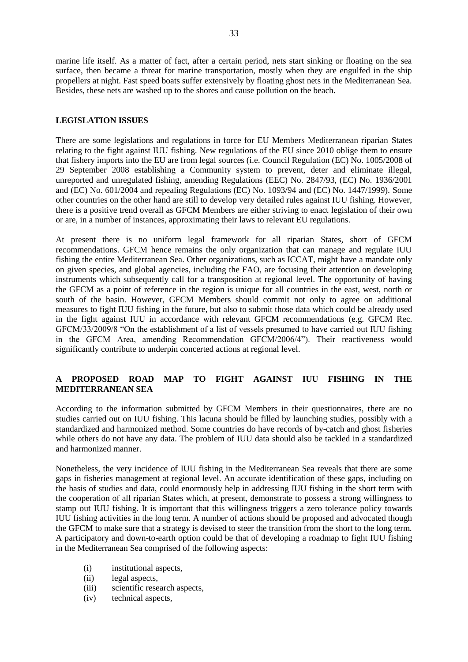marine life itself. As a matter of fact, after a certain period, nets start sinking or floating on the sea surface, then became a threat for marine transportation, mostly when they are engulfed in the ship propellers at night. Fast speed boats suffer extensively by floating ghost nets in the Mediterranean Sea. Besides, these nets are washed up to the shores and cause pollution on the beach.

### **LEGISLATION ISSUES**

There are some legislations and regulations in force for EU Members Mediterranean riparian States relating to the fight against IUU fishing. New regulations of the EU since 2010 oblige them to ensure that fishery imports into the EU are from legal sources (i.e. Council Regulation (EC) No. 1005/2008 of 29 September 2008 establishing a Community system to prevent, deter and eliminate illegal, unreported and unregulated fishing, amending Regulations (EEC) No. 2847/93, (EC) No. 1936/2001 and (EC) No. 601/2004 and repealing Regulations (EC) No. 1093/94 and (EC) No. 1447/1999). Some other countries on the other hand are still to develop very detailed rules against IUU fishing. However, there is a positive trend overall as GFCM Members are either striving to enact legislation of their own or are, in a number of instances, approximating their laws to relevant EU regulations.

At present there is no uniform legal framework for all riparian States, short of GFCM recommendations. GFCM hence remains the only organization that can manage and regulate IUU fishing the entire Mediterranean Sea. Other organizations, such as ICCAT, might have a mandate only on given species, and global agencies, including the FAO, are focusing their attention on developing instruments which subsequently call for a transposition at regional level. The opportunity of having the GFCM as a point of reference in the region is unique for all countries in the east, west, north or south of the basin. However, GFCM Members should commit not only to agree on additional measures to fight IUU fishing in the future, but also to submit those data which could be already used in the fight against IUU in accordance with relevant GFCM recommendations (e.g. GFCM Rec. GFCM/33/2009/8 "On the establishment of a list of vessels presumed to have carried out IUU fishing in the GFCM Area, amending Recommendation GFCM/2006/4"). Their reactiveness would significantly contribute to underpin concerted actions at regional level.

## **A PROPOSED ROAD MAP TO FIGHT AGAINST IUU FISHING IN THE MEDITERRANEAN SEA**

According to the information submitted by GFCM Members in their questionnaires, there are no studies carried out on IUU fishing. This lacuna should be filled by launching studies, possibly with a standardized and harmonized method. Some countries do have records of by-catch and ghost fisheries while others do not have any data. The problem of IUU data should also be tackled in a standardized and harmonized manner.

Nonetheless, the very incidence of IUU fishing in the Mediterranean Sea reveals that there are some gaps in fisheries management at regional level. An accurate identification of these gaps, including on the basis of studies and data, could enormously help in addressing IUU fishing in the short term with the cooperation of all riparian States which, at present, demonstrate to possess a strong willingness to stamp out IUU fishing. It is important that this willingness triggers a zero tolerance policy towards IUU fishing activities in the long term. A number of actions should be proposed and advocated though the GFCM to make sure that a strategy is devised to steer the transition from the short to the long term. A participatory and down-to-earth option could be that of developing a roadmap to fight IUU fishing in the Mediterranean Sea comprised of the following aspects:

- (i) institutional aspects,
- (ii) legal aspects,
- (iii) scientific research aspects,
- (iv) technical aspects,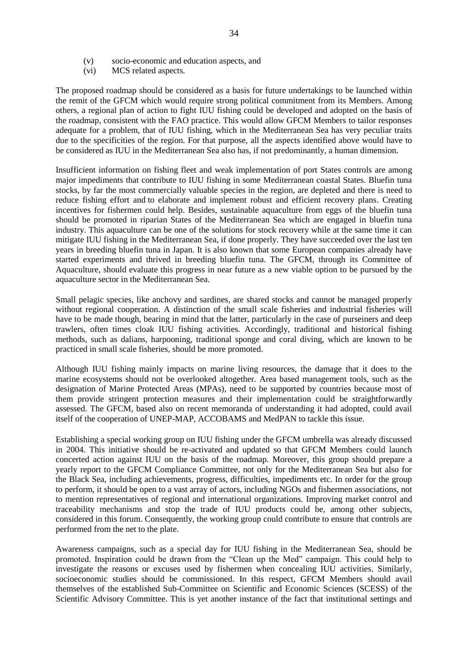- (v) socio-economic and education aspects, and
- (vi) MCS related aspects.

The proposed roadmap should be considered as a basis for future undertakings to be launched within the remit of the GFCM which would require strong political commitment from its Members. Among others, a regional plan of action to fight IUU fishing could be developed and adopted on the basis of the roadmap, consistent with the FAO practice. This would allow GFCM Members to tailor responses adequate for a problem, that of IUU fishing, which in the Mediterranean Sea has very peculiar traits due to the specificities of the region. For that purpose, all the aspects identified above would have to be considered as IUU in the Mediterranean Sea also has, if not predominantly, a human dimension.

Insufficient information on fishing fleet and weak implementation of port States controls are among major impediments that contribute to IUU fishing in some Mediterranean coastal States. Bluefin tuna stocks, by far the most commercially valuable species in the region, are depleted and there is need t[o](http://wwf.panda.org/what_we_do/how_we_work/conservation/marine/sustainable_fishing/fisheries_management/fishing_pressure/) [reduce fishing effort](http://wwf.panda.org/what_we_do/how_we_work/conservation/marine/sustainable_fishing/fisheries_management/fishing_pressure/) and to elaborate and implement [robust and efficient recovery plans.](http://wwf.panda.org/what_we_do/how_we_work/conservation/marine/sustainable_fishing/fisheries_management/fishing_pressure/) Creating incentives for fishermen could help. Besides, sustainable aquaculture from eggs of the bluefin tuna should be promoted in riparian States of the Mediterranean Sea which are engaged in bluefin tuna industry. This aquaculture can be one of the solutions for stock recovery while at the same time it can mitigate IUU fishing in the Mediterranean Sea, if done properly. They have succeeded over the last ten years in breeding bluefin tuna in Japan. It is also known that some European companies already have started experiments and thrived in breeding bluefin tuna. The GFCM, through its Committee of Aquaculture, should evaluate this progress in near future as a new viable option to be pursued by the aquaculture sector in the Mediterranean Sea.

Small pelagic species, like anchovy and sardines, are shared stocks and cannot be managed properly without regional cooperation. A distinction of the small scale fisheries and industrial fisheries will have to be made though, bearing in mind that the latter, particularly in the case of purseiners and deep trawlers, often times cloak IUU fishing activities. Accordingly, traditional and historical fishing methods, such as dalians, harpooning, traditional sponge and coral diving, which are known to be practiced in small scale fisheries, should be more promoted.

Although IUU fishing mainly impacts on marine living resources, the damage that it does to the marine ecosystems should not be overlooked altogether. Area based management tools, such as the designation of Marine Protected Areas (MPAs), need to be supported by countries because most of them provide stringent protection measures and their implementation could be straightforwardly assessed. The GFCM, based also on recent memoranda of understanding it had adopted, could avail itself of the cooperation of UNEP-MAP, ACCOBAMS and MedPAN to tackle this issue.

Establishing a special working group on IUU fishing under the GFCM umbrella was already discussed in 2004. This initiative should be re-activated and updated so that GFCM Members could launch concerted action against IUU on the basis of the roadmap. Moreover, this group should prepare a yearly report to the GFCM Compliance Committee, not only for the Mediterranean Sea but also for the Black Sea, including achievements, progress, difficulties, impediments etc. In order for the group to perform, it should be open to a vast array of actors, including NGOs and fishermen associations, not to mention representatives of regional and international organizations. Improving market control and traceability mechanisms and stop the trade of IUU products could be, among other subjects, considered in this forum. Consequently, the working group could contribute to ensure that controls are performed from the net to the plate.

Awareness campaigns, such as a special day for IUU fishing in the Mediterranean Sea, should be promoted. Inspiration could be drawn from the "Clean up the Med" campaign. This could help to investigate the reasons or excuses used by fishermen when concealing IUU activities. Similarly, socioeconomic studies should be commissioned. In this respect, GFCM Members should avail themselves of the established Sub-Committee on Scientific and Economic Sciences (SCESS) of the Scientific Advisory Committee. This is yet another instance of the fact that institutional settings and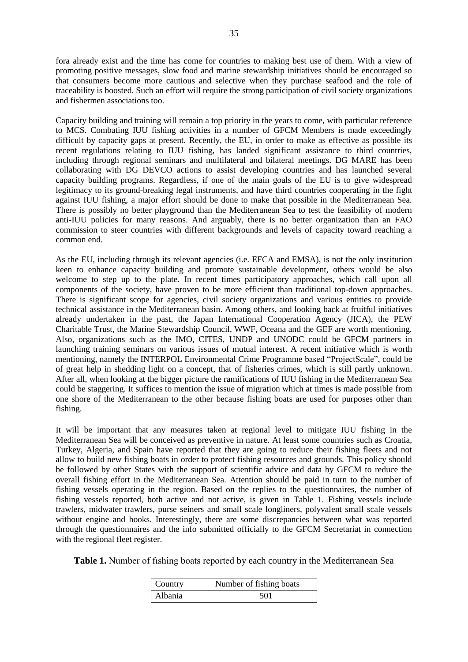fora already exist and the time has come for countries to making best use of them. With a view of promoting positive messages, slow food and marine stewardship initiatives should be encouraged so that consumers become more cautious and selective when they purchase seafood and the role of traceability is boosted. Such an effort will require the strong participation of civil society organizations and fishermen associations too.

Capacity building and training will remain a top priority in the years to come, with particular reference to MCS. Combating IUU fishing activities in a number of GFCM Members is made exceedingly difficult by capacity gaps at present. Recently, the EU, in order to make as effective as possible its recent regulations relating to IUU fishing, has landed significant assistance to third countries, including through regional seminars and multilateral and bilateral meetings. DG MARE has been collaborating with DG DEVCO actions to assist developing countries and has launched several capacity building programs. Regardless, if one of the main goals of the EU is to give widespread legitimacy to its ground-breaking legal instruments, and have third countries cooperating in the fight against IUU fishing, a major effort should be done to make that possible in the Mediterranean Sea. There is possibly no better playground than the Mediterranean Sea to test the feasibility of modern anti-IUU policies for many reasons. And arguably, there is no better organization than an FAO commission to steer countries with different backgrounds and levels of capacity toward reaching a common end.

As the EU, including through its relevant agencies (i.e. EFCA and EMSA), is not the only institution keen to enhance capacity building and promote sustainable development, others would be also welcome to step up to the plate. In recent times participatory approaches, which call upon all components of the society, have proven to be more efficient than traditional top-down approaches. There is significant scope for agencies, civil society organizations and various entities to provide technical assistance in the Mediterranean basin. Among others, and looking back at fruitful initiatives already undertaken in the past, the Japan International Cooperation Agency (JICA), the PEW Charitable Trust, the Marine Stewardship Council, WWF, Oceana and the GEF are worth mentioning. Also, organizations such as the IMO, CITES, UNDP and UNODC could be GFCM partners in launching training seminars on various issues of mutual interest. A recent initiative which is worth mentioning, namely the INTERPOL Environmental Crime Programme based "ProjectScale", could be of great help in shedding light on a concept, that of fisheries crimes, which is still partly unknown. After all, when looking at the bigger picture the ramifications of IUU fishing in the Mediterranean Sea could be staggering. It suffices to mention the issue of migration which at times is made possible from one shore of the Mediterranean to the other because fishing boats are used for purposes other than fishing.

It will be important that any measures taken at regional level to mitigate IUU fishing in the Mediterranean Sea will be conceived as preventive in nature. At least some countries such as Croatia, Turkey, Algeria, and Spain have reported that they are going to reduce their fishing fleets and not allow to build new fishing boats in order to protect fishing resources and grounds. This policy should be followed by other States with the support of scientific advice and data by GFCM to reduce the overall fishing effort in the Mediterranean Sea. Attention should be paid in turn to the number of fishing vessels operating in the region. Based on the replies to the questionnaires, the number of fishing vessels reported, both active and not active, is given in Table 1. Fishing vessels include trawlers, midwater trawlers, purse seiners and small scale longliners, polyvalent small scale vessels without engine and hooks. Interestingly, there are some discrepancies between what was reported through the questionnaires and the info submitted officially to the GFCM Secretariat in connection with the regional fleet register.

**Table 1.** Number of fıshing boats reported by each country in the Mediterranean Sea

| Country | Number of fishing boats |
|---------|-------------------------|
| Albania | 501                     |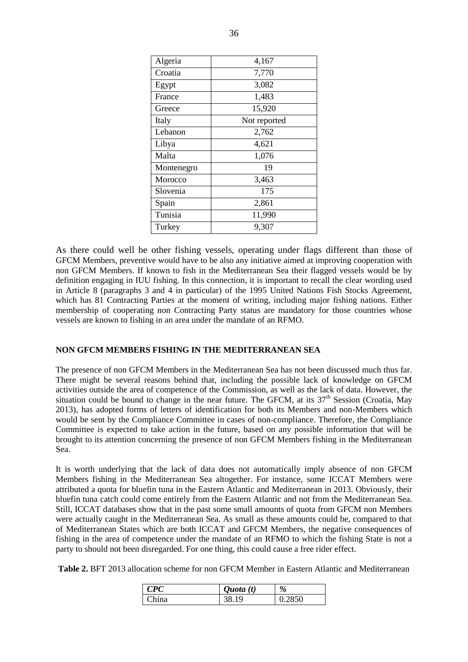| Algeria    | 4,167        |  |
|------------|--------------|--|
| Croatia    | 7,770        |  |
| Egypt      | 3,082        |  |
| France     | 1,483        |  |
| Greece     | 15,920       |  |
| Italy      | Not reported |  |
| Lebanon    | 2,762        |  |
| Libya      | 4,621        |  |
| Malta      | 1,076        |  |
| Montenegro | 19           |  |
| Morocco    | 3,463        |  |
| Slovenia   | 175          |  |
| Spain      | 2,861        |  |
| Tunisia    | 11,990       |  |
| Turkey     | 9,307        |  |

As there could well be other fishing vessels, operating under flags different than those of GFCM Members, preventive would have to be also any initiative aimed at improving cooperation with non GFCM Members. If known to fish in the Mediterranean Sea their flagged vessels would be by definition engaging in IUU fishing. In this connection, it is important to recall the clear wording used in Article 8 (paragraphs 3 and 4 in particular) of the 1995 United Nations Fish Stocks Agreement, which has 81 Contracting Parties at the moment of writing, including major fishing nations. Either membership of cooperating non Contracting Party status are mandatory for those countries whose vessels are known to fishing in an area under the mandate of an RFMO.

### **NON GFCM MEMBERS FISHING IN THE MEDITERRANEAN SEA**

The presence of non GFCM Members in the Mediterranean Sea has not been discussed much thus far. There might be several reasons behind that, including the possible lack of knowledge on GFCM activities outside the area of competence of the Commission, as well as the lack of data. However, the situation could be bound to change in the near future. The GFCM, at its  $37<sup>th</sup>$  Session (Croatia, May 2013), has adopted forms of letters of identification for both its Members and non-Members which would be sent by the Compliance Committee in cases of non-compliance. Therefore, the Compliance Committee is expected to take action in the future, based on any possible information that will be brought to its attention concerning the presence of non GFCM Members fishing in the Mediterranean Sea.

It is worth underlying that the lack of data does not automatically imply absence of non GFCM Members fishing in the Mediterranean Sea altogether. For instance, some ICCAT Members were attributed a quota for bluefin tuna in the Eastern Atlantic and Mediterranean in 2013. Obviously, their bluefin tuna catch could come entirely from the Eastern Atlantic and not from the Mediterranean Sea. Still, ICCAT databases show that in the past some small amounts of quota from GFCM non Members were actually caught in the Mediterranean Sea. As small as these amounts could be, compared to that of Mediterranean States which are both ICCAT and GFCM Members, the negative consequences of fishing in the area of competence under the mandate of an RFMO to which the fishing State is not a party to should not been disregarded. For one thing, this could cause a free rider effect.

**Table 2.** BFT 2013 allocation scheme for non GFCM Member in Eastern Atlantic and Mediterranean

| PC             | Quota(t) | %   |
|----------------|----------|-----|
| $^\prime$ hina | 1 Q      | 850 |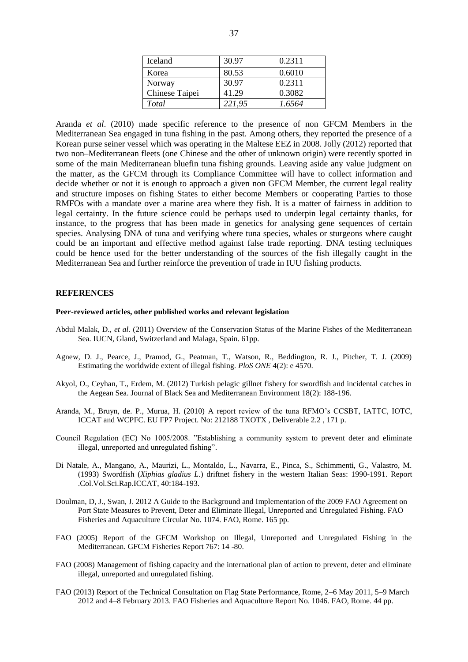| Iceland        | 30.97  | 0.2311 |
|----------------|--------|--------|
| Korea          | 80.53  | 0.6010 |
| Norway         | 30.97  | 0.2311 |
| Chinese Taipei | 41.29  | 0.3082 |
| Total          | 221,95 | 1.6564 |

Aranda *et al*. (2010) made specific reference to the presence of non GFCM Members in the Mediterranean Sea engaged in tuna fishing in the past. Among others, they reported the presence of a Korean purse seiner vessel which was operating in the Maltese EEZ in 2008. Jolly (2012) reported that two non–Mediterranean fleets (one Chinese and the other of unknown origin) were recently spotted in some of the main Mediterranean bluefin tuna fishing grounds. Leaving aside any value judgment on the matter, as the GFCM through its Compliance Committee will have to collect information and decide whether or not it is enough to approach a given non GFCM Member, the current legal reality and structure imposes on fishing States to either become Members or cooperating Parties to those RMFOs with a mandate over a marine area where they fish. It is a matter of fairness in addition to legal certainty. In the future science could be perhaps used to underpin legal certainty thanks, for instance, to the progress that has been made in genetics for analysing gene sequences of certain species. Analysing DNA of tuna and verifying where tuna species, whales or sturgeons where caught could be an important and effective method against false trade reporting. DNA testing techniques could be hence used for the better understanding of the sources of the fish illegally caught in the Mediterranean Sea and further reinforce the prevention of trade in IUU fishing products.

#### **REFERENCES**

#### **Peer-reviewed articles, other published works and relevant legislation**

- Abdul Malak, D., *et al.* (2011) Overview of the Conservation Status of the Marine Fishes of the Mediterranean Sea. IUCN, Gland, Switzerland and Malaga, Spain. 61pp.
- Agnew, D. J., Pearce, J., Pramod, G., Peatman, T., Watson, R., Beddington, R. J., Pitcher, T. J. (2009) Estimating the worldwide extent of illegal fishing. *PloS ONE* 4(2): e 4570.
- Akyol, O., Ceyhan, T., Erdem, M. (2012) Turkish pelagic gillnet fishery for swordfish and incidental catches in the Aegean Sea. Journal of Black Sea and Mediterranean Environment 18(2): 188-196.
- Aranda, M., Bruyn, de. P., Murua, H. (2010) A report review of the tuna RFMO's CCSBT, IATTC, IOTC, ICCAT and WCPFC. EU FP7 Project. No: 212188 TXOTX , Deliverable 2.2 , 171 p.
- Council Regulation (EC) No 1005/2008. "Establishing a community system to prevent deter and eliminate illegal, unreported and unregulated fishing".
- Di Natale, A., Mangano, A., Maurizi, L., Montaldo, L., Navarra, E., Pinca, S., Schimmenti, G., Valastro, M. (1993) Swordfish (*Xiphias gladius L*.) driftnet fishery in the western Italian Seas: 1990-1991. Report .Col.Vol.Sci.Rap.ICCAT, 40:184-193.
- Doulman, D, J., Swan, J. 2012 A Guide to the Background and Implementation of the 2009 FAO Agreement on Port State Measures to Prevent, Deter and Eliminate Illegal, Unreported and Unregulated Fishing. FAO Fisheries and Aquaculture Circular No. 1074. FAO, Rome. 165 pp.
- FAO (2005) Report of the GFCM Workshop on Illegal, Unreported and Unregulated Fishing in the Mediterranean. GFCM Fisheries Report 767: 14 -80.
- FAO (2008) Management of fishing capacity and the international plan of action to prevent, deter and eliminate illegal, unreported and unregulated fishing.
- FAO (2013) Report of the Technical Consultation on Flag State Performance, Rome, 2–6 May 2011, 5–9 March 2012 and 4–8 February 2013. FAO Fisheries and Aquaculture Report No. 1046. FAO, Rome. 44 pp.